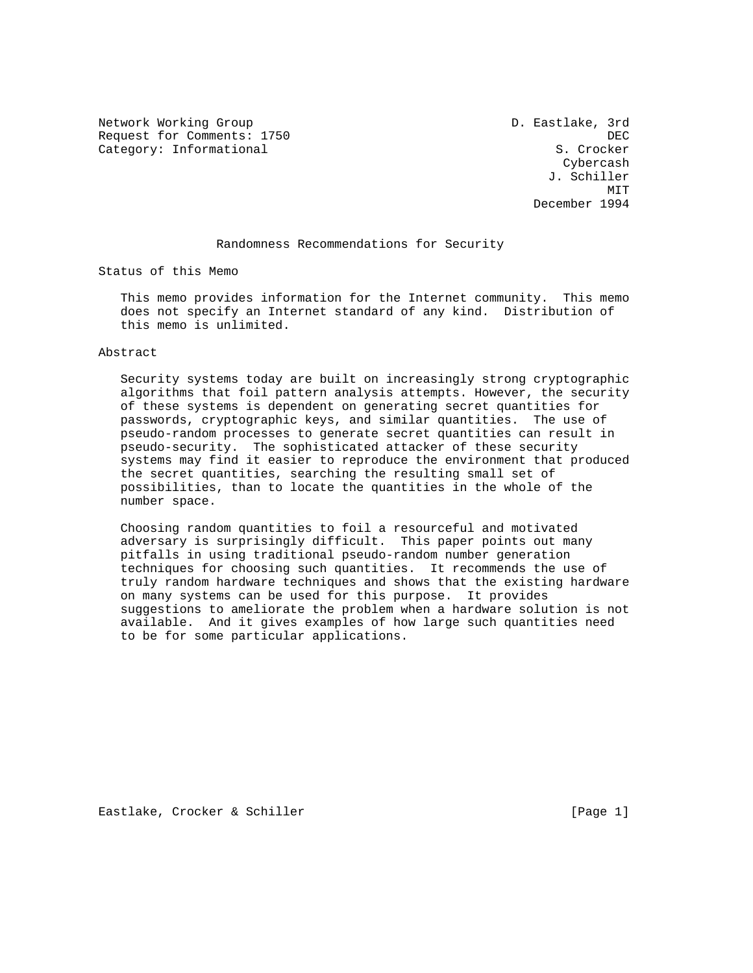Network Working Group and the Communication of the D. Eastlake, 3rd Request for Comments: 1750 DEC Category: Informational S. Crocker

 Cybercash J. Schiller MIT **MIT** December 1994

#### Randomness Recommendations for Security

Status of this Memo

 This memo provides information for the Internet community. This memo does not specify an Internet standard of any kind. Distribution of this memo is unlimited.

#### Abstract

 Security systems today are built on increasingly strong cryptographic algorithms that foil pattern analysis attempts. However, the security of these systems is dependent on generating secret quantities for passwords, cryptographic keys, and similar quantities. The use of pseudo-random processes to generate secret quantities can result in pseudo-security. The sophisticated attacker of these security systems may find it easier to reproduce the environment that produced the secret quantities, searching the resulting small set of possibilities, than to locate the quantities in the whole of the number space.

 Choosing random quantities to foil a resourceful and motivated adversary is surprisingly difficult. This paper points out many pitfalls in using traditional pseudo-random number generation techniques for choosing such quantities. It recommends the use of truly random hardware techniques and shows that the existing hardware on many systems can be used for this purpose. It provides suggestions to ameliorate the problem when a hardware solution is not available. And it gives examples of how large such quantities need to be for some particular applications.

Eastlake, Crocker & Schiller [Page 1]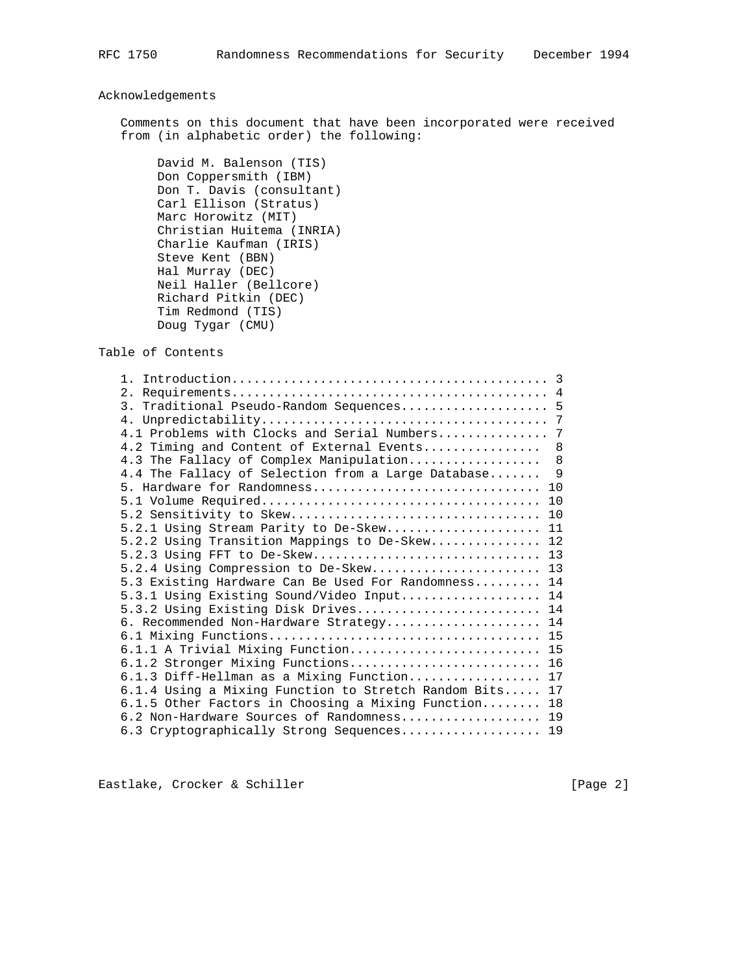# Acknowledgements

 Comments on this document that have been incorporated were received from (in alphabetic order) the following:

 David M. Balenson (TIS) Don Coppersmith (IBM) Don T. Davis (consultant) Carl Ellison (Stratus) Marc Horowitz (MIT) Christian Huitema (INRIA) Charlie Kaufman (IRIS) Steve Kent (BBN) Hal Murray (DEC) Neil Haller (Bellcore) Richard Pitkin (DEC) Tim Redmond (TIS) Doug Tygar (CMU)

Table of Contents

| 3. Traditional Pseudo-Random Sequences 5                                         |     |
|----------------------------------------------------------------------------------|-----|
|                                                                                  |     |
| 4.1 Problems with Clocks and Serial Numbers                                      | 7   |
| 4.2 Timing and Content of External Events                                        | 8   |
| 4.3 The Fallacy of Complex Manipulation                                          | 8   |
| 4.4 The Fallacy of Selection from a Large Database                               | - 9 |
| 5. Hardware for Randomness                                                       | 10  |
|                                                                                  | 10  |
| 5.2 Sensitivity to Skew                                                          | 10  |
| 5.2.1 Using Stream Parity to De-Skew                                             | 11  |
| 5.2.2 Using Transition Mappings to De-Skew                                       | 12  |
| 5.2.3 Using FFT to De-Skew 13                                                    |     |
| 5.2.4 Using Compression to De-Skew 13                                            |     |
| 5.3 Existing Hardware Can Be Used For Randomness 14                              |     |
| 5.3.1 Using Existing Sound/Video Input 14                                        |     |
| 5.3.2 Using Existing Disk Drives 14                                              |     |
| 6. Recommended Non-Hardware Strategy 14                                          |     |
|                                                                                  |     |
| 6.1.1 A Trivial Mixing Function 15                                               |     |
| 6.1.2 Stronger Mixing Functions 16                                               |     |
| 6.1.3 Diff-Hellman as a Mixing Function 17                                       |     |
| 6.1.4 Using a Mixing Function to Stretch Random Bits 17                          |     |
| $6.1.5$ Other Factors in Choosing a Mixing Function                              | 18  |
|                                                                                  | 19  |
|                                                                                  | 19  |
| 6.2 Non-Hardware Sources of Randomness<br>6.3 Cryptographically Strong Sequences |     |

Eastlake, Crocker & Schiller [Page 2]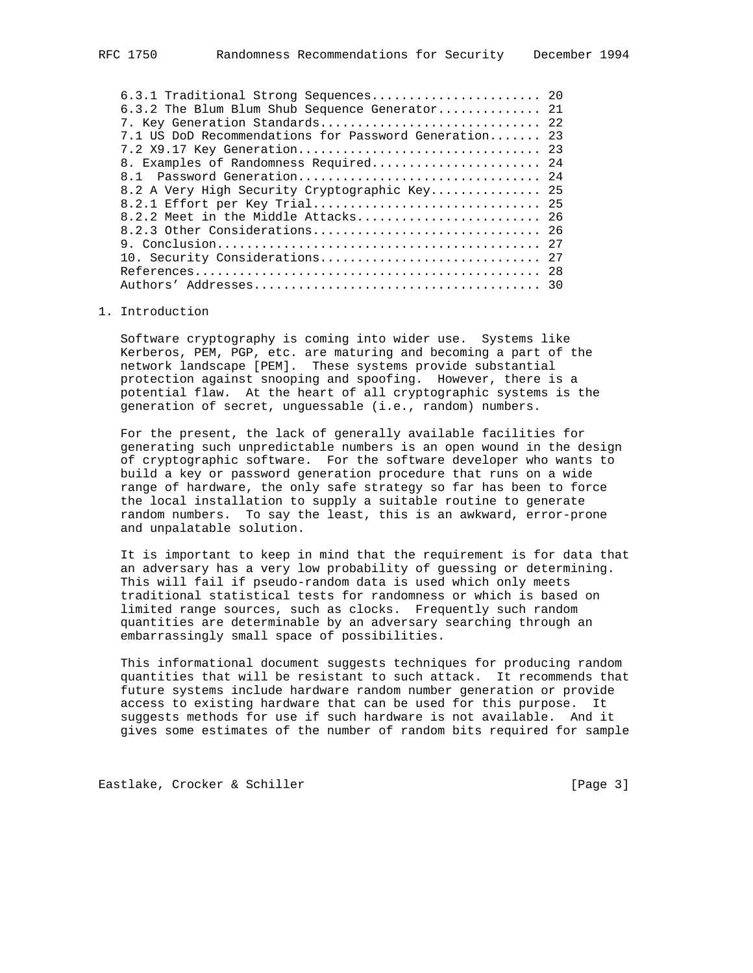| 6.3.1 Traditional Strong Sequences 20                 |  |
|-------------------------------------------------------|--|
| 6.3.2 The Blum Blum Shub Sequence Generator 21        |  |
| 7. Key Generation Standards 22                        |  |
| 7.1 US DoD Recommendations for Password Generation 23 |  |
|                                                       |  |
| 8. Examples of Randomness Required 24                 |  |
| 8.1 Password Generation 24                            |  |
| 8.2 A Very High Security Cryptographic Key 25         |  |
| 8.2.1 Effort per Key Trial 25                         |  |
|                                                       |  |
|                                                       |  |
|                                                       |  |
|                                                       |  |
|                                                       |  |
|                                                       |  |
|                                                       |  |

### 1. Introduction

 Software cryptography is coming into wider use. Systems like Kerberos, PEM, PGP, etc. are maturing and becoming a part of the network landscape [PEM]. These systems provide substantial protection against snooping and spoofing. However, there is a potential flaw. At the heart of all cryptographic systems is the generation of secret, unguessable (i.e., random) numbers.

 For the present, the lack of generally available facilities for generating such unpredictable numbers is an open wound in the design of cryptographic software. For the software developer who wants to build a key or password generation procedure that runs on a wide range of hardware, the only safe strategy so far has been to force the local installation to supply a suitable routine to generate random numbers. To say the least, this is an awkward, error-prone and unpalatable solution.

 It is important to keep in mind that the requirement is for data that an adversary has a very low probability of guessing or determining. This will fail if pseudo-random data is used which only meets traditional statistical tests for randomness or which is based on limited range sources, such as clocks. Frequently such random quantities are determinable by an adversary searching through an embarrassingly small space of possibilities.

 This informational document suggests techniques for producing random quantities that will be resistant to such attack. It recommends that future systems include hardware random number generation or provide access to existing hardware that can be used for this purpose. It suggests methods for use if such hardware is not available. And it gives some estimates of the number of random bits required for sample

Eastlake, Crocker & Schiller [Page 3]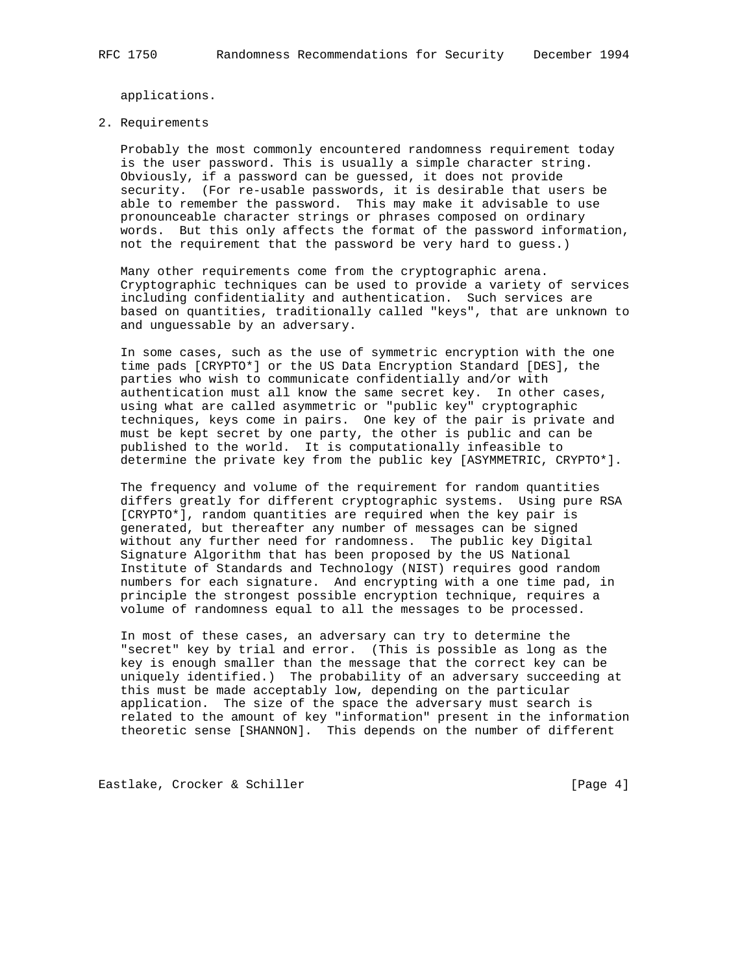applications.

#### 2. Requirements

 Probably the most commonly encountered randomness requirement today is the user password. This is usually a simple character string. Obviously, if a password can be guessed, it does not provide security. (For re-usable passwords, it is desirable that users be able to remember the password. This may make it advisable to use pronounceable character strings or phrases composed on ordinary words. But this only affects the format of the password information, not the requirement that the password be very hard to guess.)

 Many other requirements come from the cryptographic arena. Cryptographic techniques can be used to provide a variety of services including confidentiality and authentication. Such services are based on quantities, traditionally called "keys", that are unknown to and unguessable by an adversary.

 In some cases, such as the use of symmetric encryption with the one time pads [CRYPTO\*] or the US Data Encryption Standard [DES], the parties who wish to communicate confidentially and/or with authentication must all know the same secret key. In other cases, using what are called asymmetric or "public key" cryptographic techniques, keys come in pairs. One key of the pair is private and must be kept secret by one party, the other is public and can be published to the world. It is computationally infeasible to determine the private key from the public key [ASYMMETRIC, CRYPTO\*].

 The frequency and volume of the requirement for random quantities differs greatly for different cryptographic systems. Using pure RSA [CRYPTO\*], random quantities are required when the key pair is generated, but thereafter any number of messages can be signed without any further need for randomness. The public key Digital Signature Algorithm that has been proposed by the US National Institute of Standards and Technology (NIST) requires good random numbers for each signature. And encrypting with a one time pad, in principle the strongest possible encryption technique, requires a volume of randomness equal to all the messages to be processed.

 In most of these cases, an adversary can try to determine the "secret" key by trial and error. (This is possible as long as the key is enough smaller than the message that the correct key can be uniquely identified.) The probability of an adversary succeeding at this must be made acceptably low, depending on the particular application. The size of the space the adversary must search is related to the amount of key "information" present in the information theoretic sense [SHANNON]. This depends on the number of different

Eastlake, Crocker & Schiller [Page 4]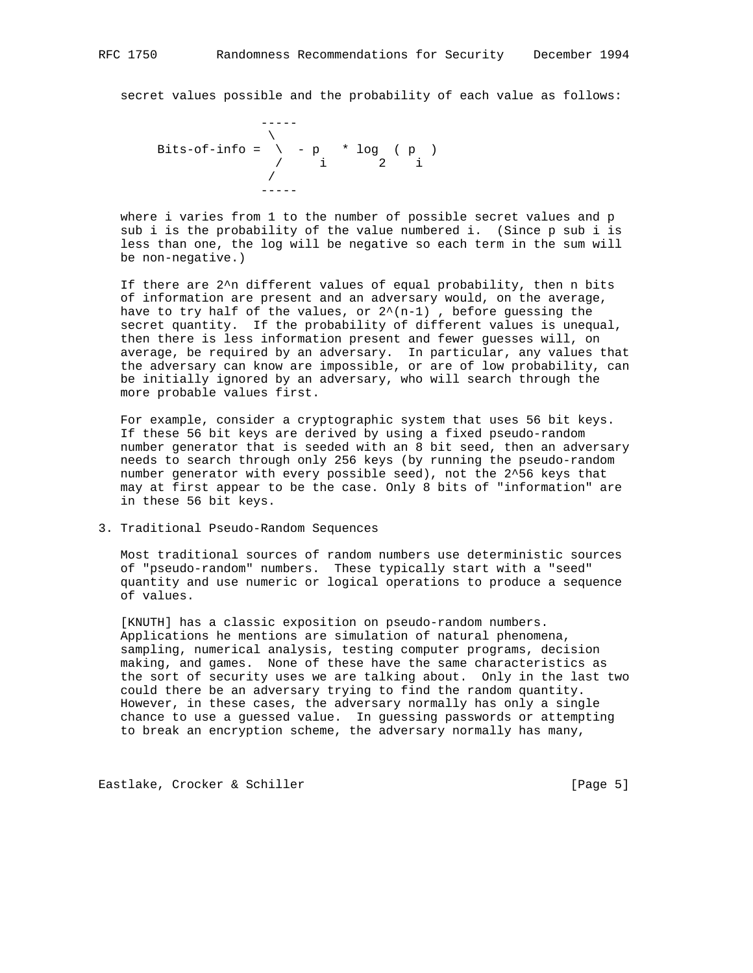secret values possible and the probability of each value as follows:

$$
\begin{array}{cccc}\n & - & - & - \\
 & & \searrow & \\
 & \searrow & \\
 & \searrow & \\
 & \searrow & \\
 & \searrow & \\
 & \searrow & \\
 & \searrow & \\
 & \searrow & \\
 & \searrow & \\
 & \searrow & \\
 & \searrow & \\
 & \searrow & \\
 & \searrow & \\
 & \searrow & \\
 & \searrow & \\
 & \searrow & \\
 & \searrow & \\
 & \searrow & \\
 & \searrow & \\
 & \searrow & \\
 & \searrow & \\
 & \searrow & \\
 & \searrow & \\
 & \searrow & \\
 & \searrow & \\
 & \searrow & \\
 & \searrow & \\
 & \searrow & \\
 & \searrow & \\
 & \searrow & \\
 & \searrow & \\
 & \searrow & \\
 & \searrow & \\
 & \searrow & \\
 & \searrow & \\
 & \searrow & \\
 & \searrow & \\
 & \searrow & \\
 & \searrow & \\
 & \searrow & \\
 & \searrow & \\
 & \searrow & \\
 & \searrow & \\
 & \searrow & \\
 & \searrow & \\
 & \searrow & \\
 & \searrow & \\
 & \searrow & \\
 & \searrow & \\
 & \searrow & \\
 & \searrow & \\
 & \searrow & \\
 & \searrow & \\
 & \searrow & \\
 & \searrow & \\
 & \searrow & \\
 & \searrow & \\
 & \searrow & \\
 & \searrow & \\
 & \searrow & \\
 & \searrow & \\
 & \searrow & \\
 & \searrow & \\
 & \searrow & \\
 & \searrow & \\
 & \searrow & \\
 & \searrow & \\
 & \searrow & \\
 & \searrow & \\
 & \searrow & \\
 & \searrow & \\
 & \searrow & \\
 & \searrow & \\
 & \searrow & \\
 & \searrow & \\
 & \searrow & \\
 & \searrow & \\
 & \searrow & \\
 & \searrow & \\
 & \searrow & \\
 & \searrow & \\
 & \searrow & \\
 & \searrow & \\
 & \searrow & \\
 & \searrow & \\
 & \searrow & \\
 & \searrow & \\
 & \searrow & \\
 & \searrow & \\
 & \searrow & \\
 & \searrow & \\
 & \searrow & \\
 & \searrow & \\
 & \searrow & \\
 & \searrow & \\
 & \searrow & \\
 & \searrow & \\
 & \searrow & \\
 & \searrow & \\
 & \searrow & \\
 & \searrow & \\
 & \searrow & \\
 & \searrow & \\
 & \searrow & \\
 & \searrow & \\
 & \searrow & \\
 & \searrow & \\
 & \searrow & \\
 & \searrow & \\
 & \searrow & \\
 & \searrow & \\
 & \searrow & \\
 & \searrow & \\
 & \searrow & \\
 & \searrow & \\
 & \searrow & \\
 & \searrow & \\
 & \searrow & \\
 & \searrow & \\
 & \searrow & \\
 & \searrow & \\
 & \searrow & \\
 & \searrow & \\
 & \searrow & \\
$$

 where i varies from 1 to the number of possible secret values and p sub i is the probability of the value numbered i. (Since p sub i is less than one, the log will be negative so each term in the sum will be non-negative.)

 If there are 2^n different values of equal probability, then n bits of information are present and an adversary would, on the average, have to try half of the values, or  $2^{\wedge}(n-1)$  , before guessing the secret quantity. If the probability of different values is unequal, then there is less information present and fewer guesses will, on average, be required by an adversary. In particular, any values that the adversary can know are impossible, or are of low probability, can be initially ignored by an adversary, who will search through the more probable values first.

 For example, consider a cryptographic system that uses 56 bit keys. If these 56 bit keys are derived by using a fixed pseudo-random number generator that is seeded with an 8 bit seed, then an adversary needs to search through only 256 keys (by running the pseudo-random number generator with every possible seed), not the 2^56 keys that may at first appear to be the case. Only 8 bits of "information" are in these 56 bit keys.

3. Traditional Pseudo-Random Sequences

 Most traditional sources of random numbers use deterministic sources of "pseudo-random" numbers. These typically start with a "seed" quantity and use numeric or logical operations to produce a sequence of values.

 [KNUTH] has a classic exposition on pseudo-random numbers. Applications he mentions are simulation of natural phenomena, sampling, numerical analysis, testing computer programs, decision making, and games. None of these have the same characteristics as the sort of security uses we are talking about. Only in the last two could there be an adversary trying to find the random quantity. However, in these cases, the adversary normally has only a single chance to use a guessed value. In guessing passwords or attempting to break an encryption scheme, the adversary normally has many,

Eastlake, Crocker & Schiller [Page 5]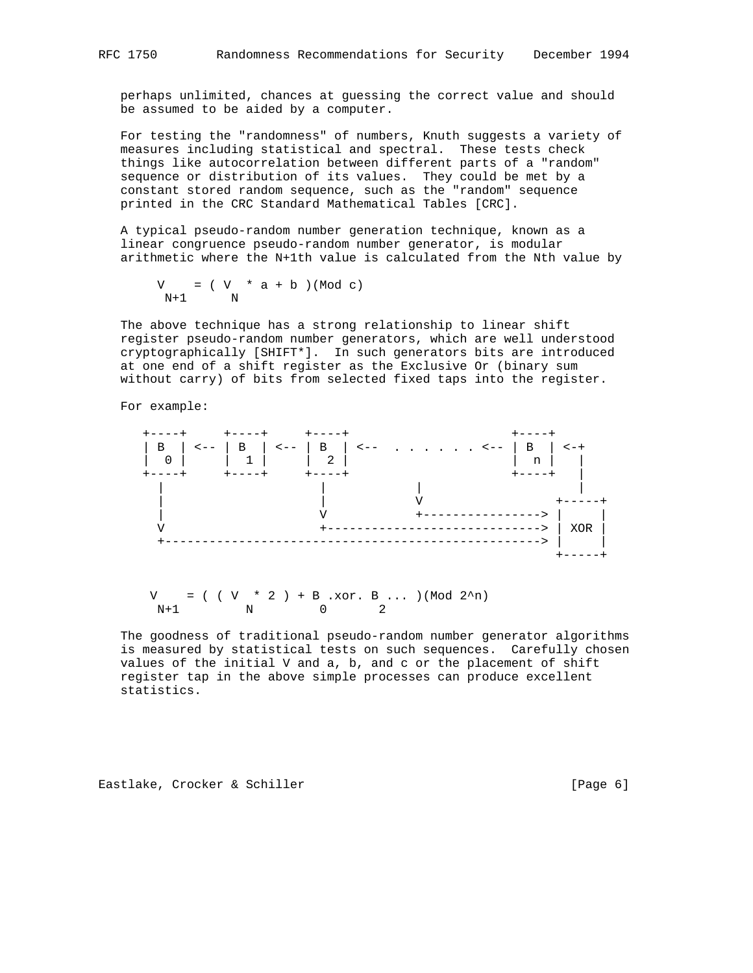perhaps unlimited, chances at guessing the correct value and should be assumed to be aided by a computer.

 For testing the "randomness" of numbers, Knuth suggests a variety of measures including statistical and spectral. These tests check things like autocorrelation between different parts of a "random" sequence or distribution of its values. They could be met by a constant stored random sequence, such as the "random" sequence printed in the CRC Standard Mathematical Tables [CRC].

 A typical pseudo-random number generation technique, known as a linear congruence pseudo-random number generator, is modular arithmetic where the N+1th value is calculated from the Nth value by

 $V = (V * a + b) (Mod c)$ N+1 N

 The above technique has a strong relationship to linear shift register pseudo-random number generators, which are well understood cryptographically [SHIFT\*]. In such generators bits are introduced at one end of a shift register as the Exclusive Or (binary sum without carry) of bits from selected fixed taps into the register.

For example:



 $V = ( ( V * 2 ) + B . x 0 r. B . . . ) (Mod 2<sup>2</sup>n)$  $N+1$  N 0 2

 The goodness of traditional pseudo-random number generator algorithms is measured by statistical tests on such sequences. Carefully chosen values of the initial V and a, b, and c or the placement of shift register tap in the above simple processes can produce excellent statistics.

Eastlake, Crocker & Schiller [Page 6]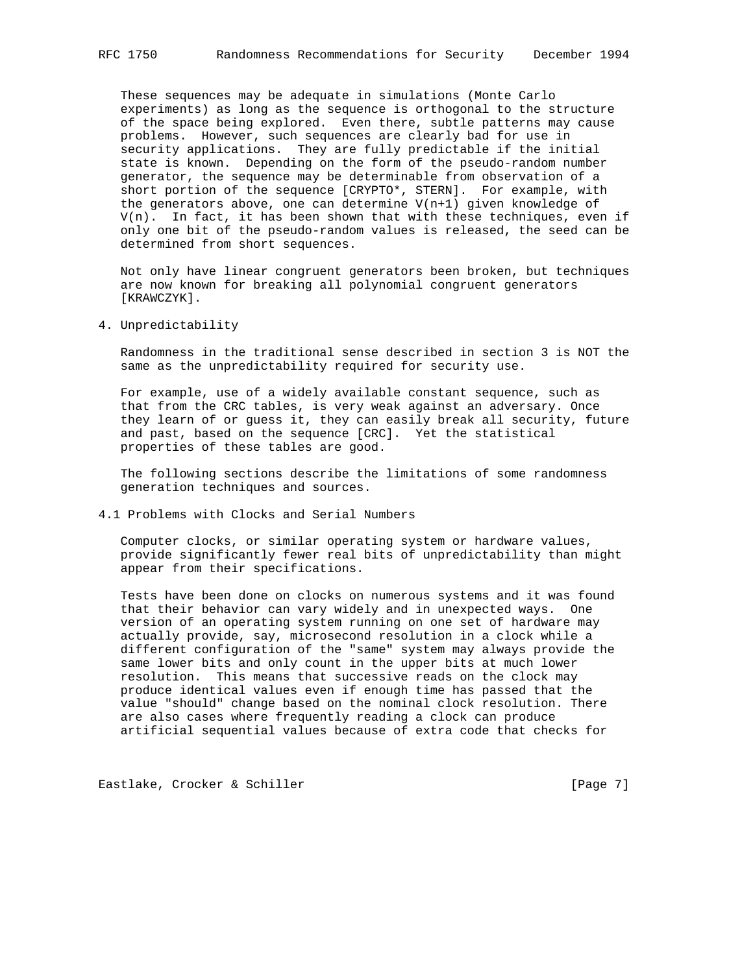These sequences may be adequate in simulations (Monte Carlo experiments) as long as the sequence is orthogonal to the structure of the space being explored. Even there, subtle patterns may cause problems. However, such sequences are clearly bad for use in security applications. They are fully predictable if the initial state is known. Depending on the form of the pseudo-random number generator, the sequence may be determinable from observation of a short portion of the sequence [CRYPTO\*, STERN]. For example, with the generators above, one can determine V(n+1) given knowledge of  $V(n)$ . In fact, it has been shown that with these techniques, even if only one bit of the pseudo-random values is released, the seed can be determined from short sequences.

 Not only have linear congruent generators been broken, but techniques are now known for breaking all polynomial congruent generators [KRAWCZYK].

4. Unpredictability

 Randomness in the traditional sense described in section 3 is NOT the same as the unpredictability required for security use.

 For example, use of a widely available constant sequence, such as that from the CRC tables, is very weak against an adversary. Once they learn of or guess it, they can easily break all security, future and past, based on the sequence [CRC]. Yet the statistical properties of these tables are good.

 The following sections describe the limitations of some randomness generation techniques and sources.

4.1 Problems with Clocks and Serial Numbers

 Computer clocks, or similar operating system or hardware values, provide significantly fewer real bits of unpredictability than might appear from their specifications.

 Tests have been done on clocks on numerous systems and it was found that their behavior can vary widely and in unexpected ways. One version of an operating system running on one set of hardware may actually provide, say, microsecond resolution in a clock while a different configuration of the "same" system may always provide the same lower bits and only count in the upper bits at much lower resolution. This means that successive reads on the clock may produce identical values even if enough time has passed that the value "should" change based on the nominal clock resolution. There are also cases where frequently reading a clock can produce artificial sequential values because of extra code that checks for

Eastlake, Crocker & Schiller [Page 7]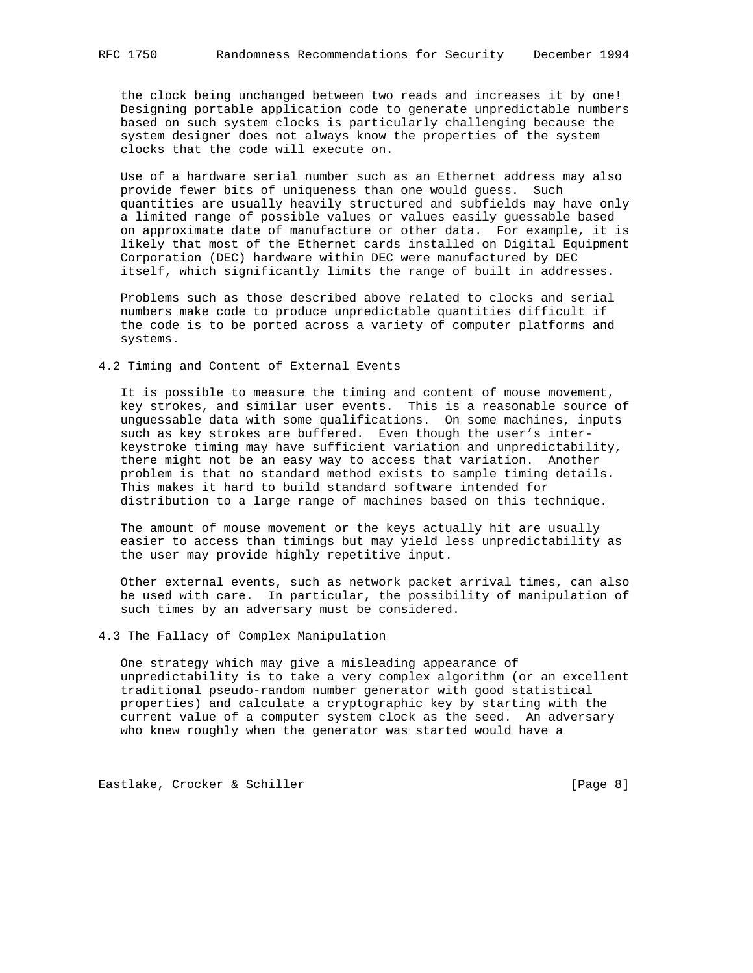the clock being unchanged between two reads and increases it by one! Designing portable application code to generate unpredictable numbers based on such system clocks is particularly challenging because the system designer does not always know the properties of the system clocks that the code will execute on.

 Use of a hardware serial number such as an Ethernet address may also provide fewer bits of uniqueness than one would guess. Such quantities are usually heavily structured and subfields may have only a limited range of possible values or values easily guessable based on approximate date of manufacture or other data. For example, it is likely that most of the Ethernet cards installed on Digital Equipment Corporation (DEC) hardware within DEC were manufactured by DEC itself, which significantly limits the range of built in addresses.

 Problems such as those described above related to clocks and serial numbers make code to produce unpredictable quantities difficult if the code is to be ported across a variety of computer platforms and systems.

4.2 Timing and Content of External Events

 It is possible to measure the timing and content of mouse movement, key strokes, and similar user events. This is a reasonable source of unguessable data with some qualifications. On some machines, inputs such as key strokes are buffered. Even though the user's inter keystroke timing may have sufficient variation and unpredictability, there might not be an easy way to access that variation. Another problem is that no standard method exists to sample timing details. This makes it hard to build standard software intended for distribution to a large range of machines based on this technique.

 The amount of mouse movement or the keys actually hit are usually easier to access than timings but may yield less unpredictability as the user may provide highly repetitive input.

 Other external events, such as network packet arrival times, can also be used with care. In particular, the possibility of manipulation of such times by an adversary must be considered.

4.3 The Fallacy of Complex Manipulation

 One strategy which may give a misleading appearance of unpredictability is to take a very complex algorithm (or an excellent traditional pseudo-random number generator with good statistical properties) and calculate a cryptographic key by starting with the current value of a computer system clock as the seed. An adversary who knew roughly when the generator was started would have a

Eastlake, Crocker & Schiller [Page 8]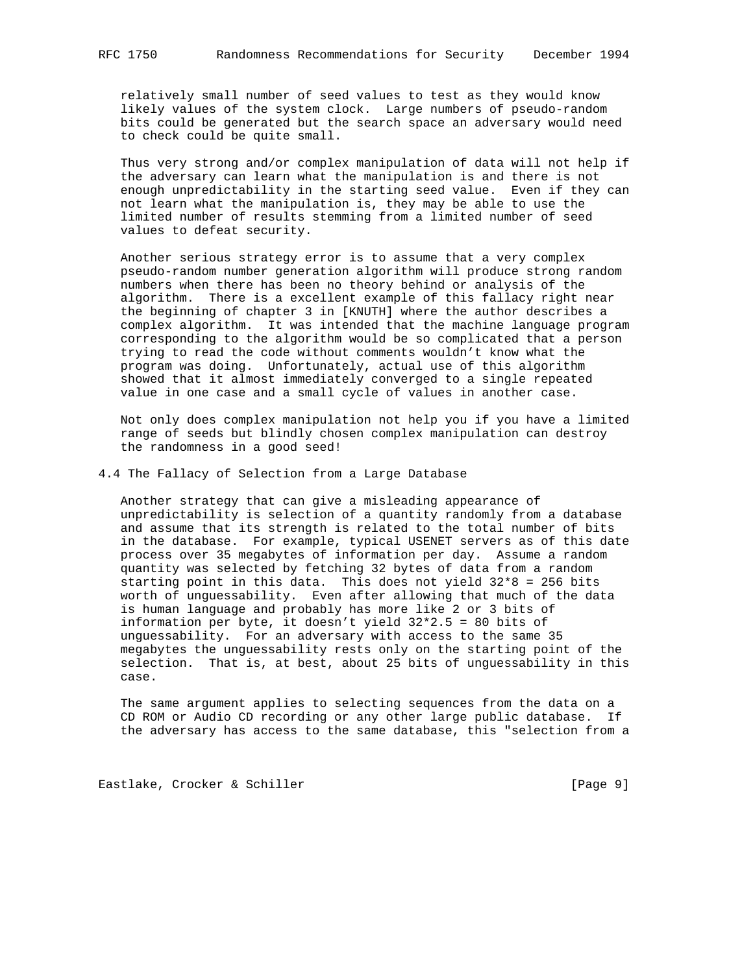relatively small number of seed values to test as they would know likely values of the system clock. Large numbers of pseudo-random bits could be generated but the search space an adversary would need to check could be quite small.

 Thus very strong and/or complex manipulation of data will not help if the adversary can learn what the manipulation is and there is not enough unpredictability in the starting seed value. Even if they can not learn what the manipulation is, they may be able to use the limited number of results stemming from a limited number of seed values to defeat security.

 Another serious strategy error is to assume that a very complex pseudo-random number generation algorithm will produce strong random numbers when there has been no theory behind or analysis of the algorithm. There is a excellent example of this fallacy right near the beginning of chapter 3 in [KNUTH] where the author describes a complex algorithm. It was intended that the machine language program corresponding to the algorithm would be so complicated that a person trying to read the code without comments wouldn't know what the program was doing. Unfortunately, actual use of this algorithm showed that it almost immediately converged to a single repeated value in one case and a small cycle of values in another case.

 Not only does complex manipulation not help you if you have a limited range of seeds but blindly chosen complex manipulation can destroy the randomness in a good seed!

4.4 The Fallacy of Selection from a Large Database

 Another strategy that can give a misleading appearance of unpredictability is selection of a quantity randomly from a database and assume that its strength is related to the total number of bits in the database. For example, typical USENET servers as of this date process over 35 megabytes of information per day. Assume a random quantity was selected by fetching 32 bytes of data from a random starting point in this data. This does not yield 32\*8 = 256 bits worth of unguessability. Even after allowing that much of the data is human language and probably has more like 2 or 3 bits of information per byte, it doesn't yield 32\*2.5 = 80 bits of unguessability. For an adversary with access to the same 35 megabytes the unguessability rests only on the starting point of the selection. That is, at best, about 25 bits of unguessability in this case.

 The same argument applies to selecting sequences from the data on a CD ROM or Audio CD recording or any other large public database. If the adversary has access to the same database, this "selection from a

Eastlake, Crocker & Schiller [Page 9]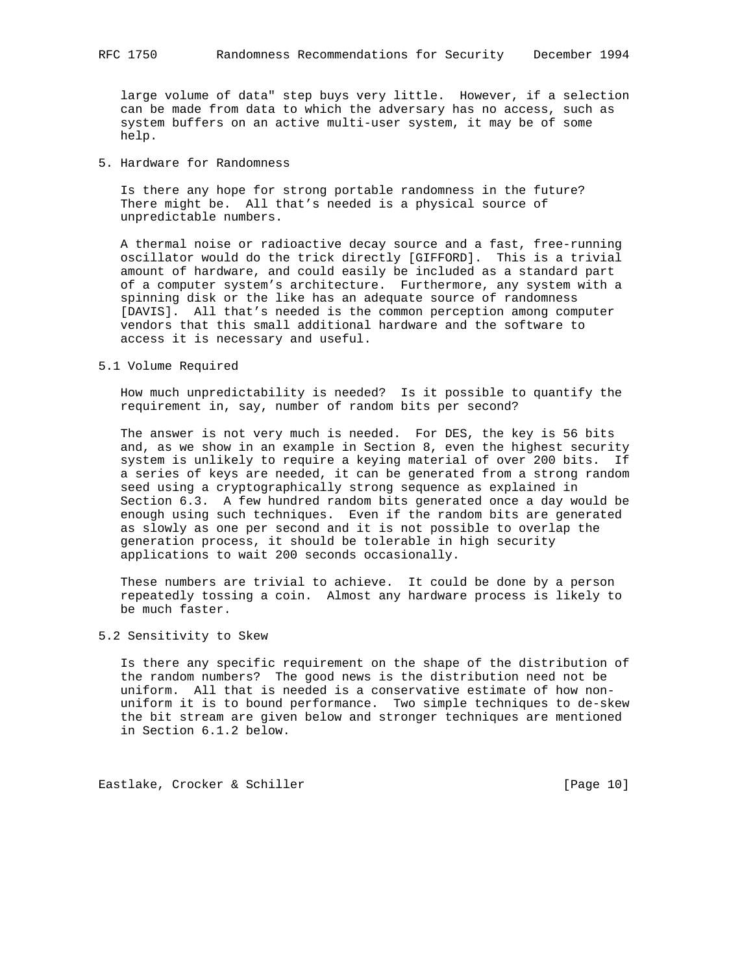large volume of data" step buys very little. However, if a selection can be made from data to which the adversary has no access, such as system buffers on an active multi-user system, it may be of some help.

5. Hardware for Randomness

 Is there any hope for strong portable randomness in the future? There might be. All that's needed is a physical source of unpredictable numbers.

 A thermal noise or radioactive decay source and a fast, free-running oscillator would do the trick directly [GIFFORD]. This is a trivial amount of hardware, and could easily be included as a standard part of a computer system's architecture. Furthermore, any system with a spinning disk or the like has an adequate source of randomness [DAVIS]. All that's needed is the common perception among computer vendors that this small additional hardware and the software to access it is necessary and useful.

5.1 Volume Required

 How much unpredictability is needed? Is it possible to quantify the requirement in, say, number of random bits per second?

 The answer is not very much is needed. For DES, the key is 56 bits and, as we show in an example in Section 8, even the highest security system is unlikely to require a keying material of over 200 bits. If a series of keys are needed, it can be generated from a strong random seed using a cryptographically strong sequence as explained in Section 6.3. A few hundred random bits generated once a day would be enough using such techniques. Even if the random bits are generated as slowly as one per second and it is not possible to overlap the generation process, it should be tolerable in high security applications to wait 200 seconds occasionally.

 These numbers are trivial to achieve. It could be done by a person repeatedly tossing a coin. Almost any hardware process is likely to be much faster.

## 5.2 Sensitivity to Skew

 Is there any specific requirement on the shape of the distribution of the random numbers? The good news is the distribution need not be uniform. All that is needed is a conservative estimate of how non uniform it is to bound performance. Two simple techniques to de-skew the bit stream are given below and stronger techniques are mentioned in Section 6.1.2 below.

Eastlake, Crocker & Schiller [Page 10]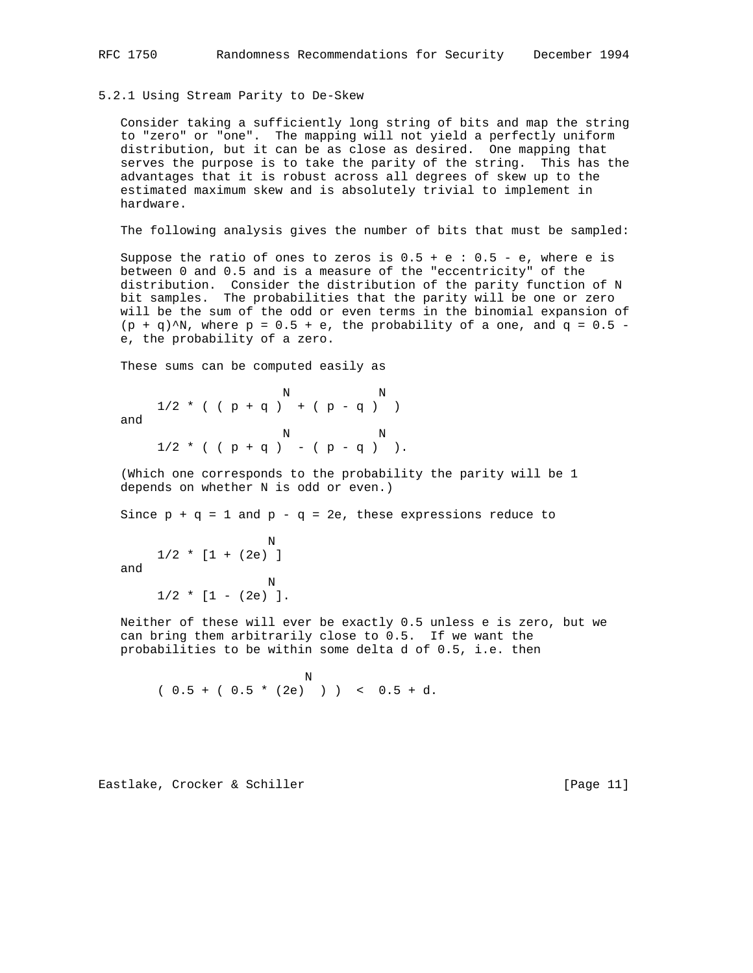### 5.2.1 Using Stream Parity to De-Skew

 Consider taking a sufficiently long string of bits and map the string to "zero" or "one". The mapping will not yield a perfectly uniform distribution, but it can be as close as desired. One mapping that serves the purpose is to take the parity of the string. This has the advantages that it is robust across all degrees of skew up to the estimated maximum skew and is absolutely trivial to implement in hardware.

The following analysis gives the number of bits that must be sampled:

Suppose the ratio of ones to zeros is  $0.5 + e : 0.5 - e$ , where e is between 0 and 0.5 and is a measure of the "eccentricity" of the distribution. Consider the distribution of the parity function of N bit samples. The probabilities that the parity will be one or zero will be the sum of the odd or even terms in the binomial expansion of  $(p + q)$ <sup>N</sup>, where  $p = 0.5 + e$ , the probability of a one, and  $q = 0.5 - 1$ e, the probability of a zero.

These sums can be computed easily as

N N

 $1/2$  \* ( (  $p + q$  ) + (  $p - q$  ) ) and

 N N  $1/2$  \* ( (  $p + q$  ) – (  $p - q$  ) ).

 (Which one corresponds to the probability the parity will be 1 depends on whether N is odd or even.)

Since  $p + q = 1$  and  $p - q = 2e$ , these expressions reduce to

```
 N
    1/2 * [1 + (2e) ] and
 N
    1/2 * [1 - (2e) ].
```
 Neither of these will ever be exactly 0.5 unless e is zero, but we can bring them arbitrarily close to 0.5. If we want the probabilities to be within some delta d of 0.5, i.e. then

Note that the state of the state of the state of the state of the state of the state of the state of the state of the state of the state of the state of the state of the state of the state of the state of the state of the  $(0.5 + (0.5 * (2e)) )$   $(0.5 + d.$ 

Eastlake, Crocker & Schiller [Page 11]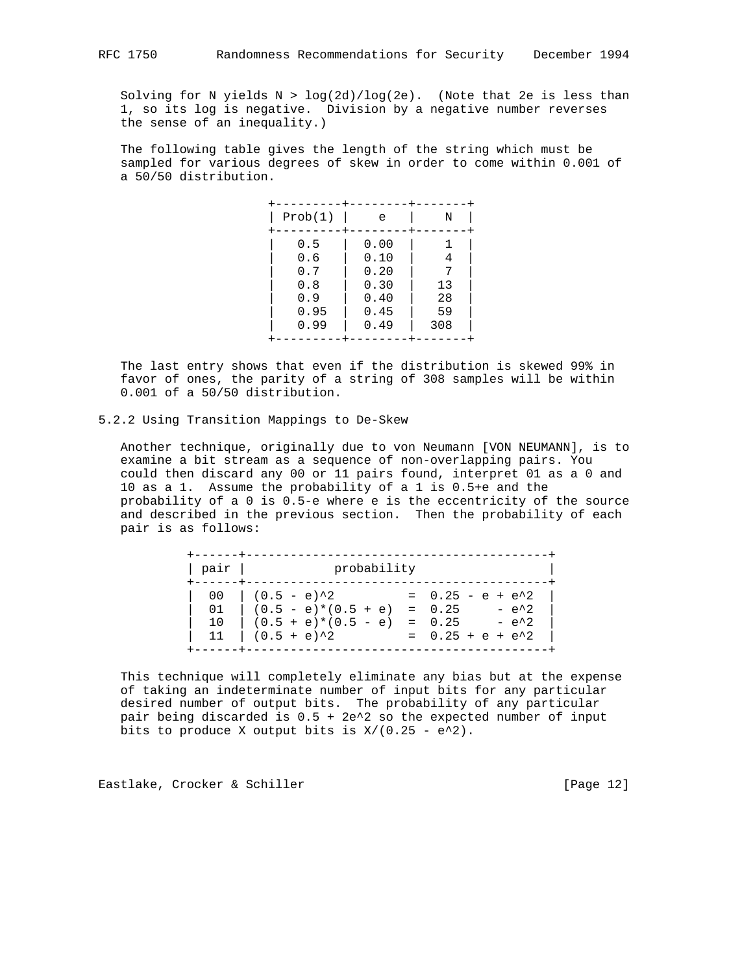Solving for N yields  $N > log(2d)/log(2e)$ . (Note that 2e is less than 1, so its log is negative. Division by a negative number reverses the sense of an inequality.)

 The following table gives the length of the string which must be sampled for various degrees of skew in order to come within 0.001 of a 50/50 distribution.

| Prob(1) | е    | Ν   |
|---------|------|-----|
| 0.5     | 0.00 |     |
| 0.6     | 0.10 | 4   |
| 0.7     | 0.20 |     |
| 0.8     | 0.30 | 13  |
| 0.9     | 0.40 | 28  |
| 0.95    | 0.45 | 59  |
| 0.99    | 0.49 | 308 |
|         |      |     |

 The last entry shows that even if the distribution is skewed 99% in favor of ones, the parity of a string of 308 samples will be within 0.001 of a 50/50 distribution.

5.2.2 Using Transition Mappings to De-Skew

 Another technique, originally due to von Neumann [VON NEUMANN], is to examine a bit stream as a sequence of non-overlapping pairs. You could then discard any 00 or 11 pairs found, interpret 01 as a 0 and 10 as a 1. Assume the probability of a 1 is 0.5+e and the probability of a 0 is 0.5-e where e is the eccentricity of the source and described in the previous section. Then the probability of each pair is as follows:

| pair | probability                                                                                                                                       |                    |
|------|---------------------------------------------------------------------------------------------------------------------------------------------------|--------------------|
|      | 00 $(0.5 - e)^2$ = 0.25 - e + e <sup>2</sup> 2<br>01 $(0.5 - e)*(0.5 + e) = 0.25 - e^2$<br>10 $(0.5 + e)*(0.5 - e) = 0.25 - e^2$<br>$(0.5 + e)^2$ | $= 0.25 + e + e^2$ |

 This technique will completely eliminate any bias but at the expense of taking an indeterminate number of input bits for any particular desired number of output bits. The probability of any particular pair being discarded is 0.5 + 2e^2 so the expected number of input bits to produce X output bits is  $X/(0.25 - e^2)$ .

Eastlake, Crocker & Schiller [Page 12]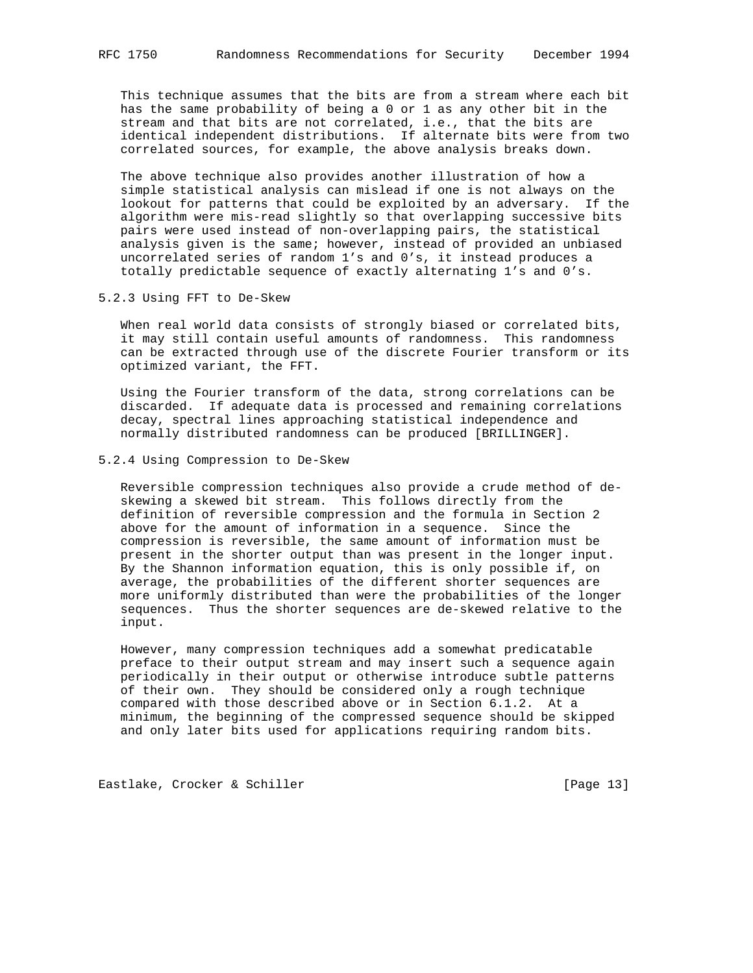This technique assumes that the bits are from a stream where each bit has the same probability of being a 0 or 1 as any other bit in the stream and that bits are not correlated, i.e., that the bits are identical independent distributions. If alternate bits were from two correlated sources, for example, the above analysis breaks down.

 The above technique also provides another illustration of how a simple statistical analysis can mislead if one is not always on the lookout for patterns that could be exploited by an adversary. If the algorithm were mis-read slightly so that overlapping successive bits pairs were used instead of non-overlapping pairs, the statistical analysis given is the same; however, instead of provided an unbiased uncorrelated series of random 1's and 0's, it instead produces a totally predictable sequence of exactly alternating 1's and 0's.

### 5.2.3 Using FFT to De-Skew

 When real world data consists of strongly biased or correlated bits, it may still contain useful amounts of randomness. This randomness can be extracted through use of the discrete Fourier transform or its optimized variant, the FFT.

 Using the Fourier transform of the data, strong correlations can be discarded. If adequate data is processed and remaining correlations decay, spectral lines approaching statistical independence and normally distributed randomness can be produced [BRILLINGER].

### 5.2.4 Using Compression to De-Skew

 Reversible compression techniques also provide a crude method of de skewing a skewed bit stream. This follows directly from the definition of reversible compression and the formula in Section 2 above for the amount of information in a sequence. Since the compression is reversible, the same amount of information must be present in the shorter output than was present in the longer input. By the Shannon information equation, this is only possible if, on average, the probabilities of the different shorter sequences are more uniformly distributed than were the probabilities of the longer sequences. Thus the shorter sequences are de-skewed relative to the input.

 However, many compression techniques add a somewhat predicatable preface to their output stream and may insert such a sequence again periodically in their output or otherwise introduce subtle patterns of their own. They should be considered only a rough technique compared with those described above or in Section 6.1.2. At a minimum, the beginning of the compressed sequence should be skipped and only later bits used for applications requiring random bits.

Eastlake, Crocker & Schiller [Page 13]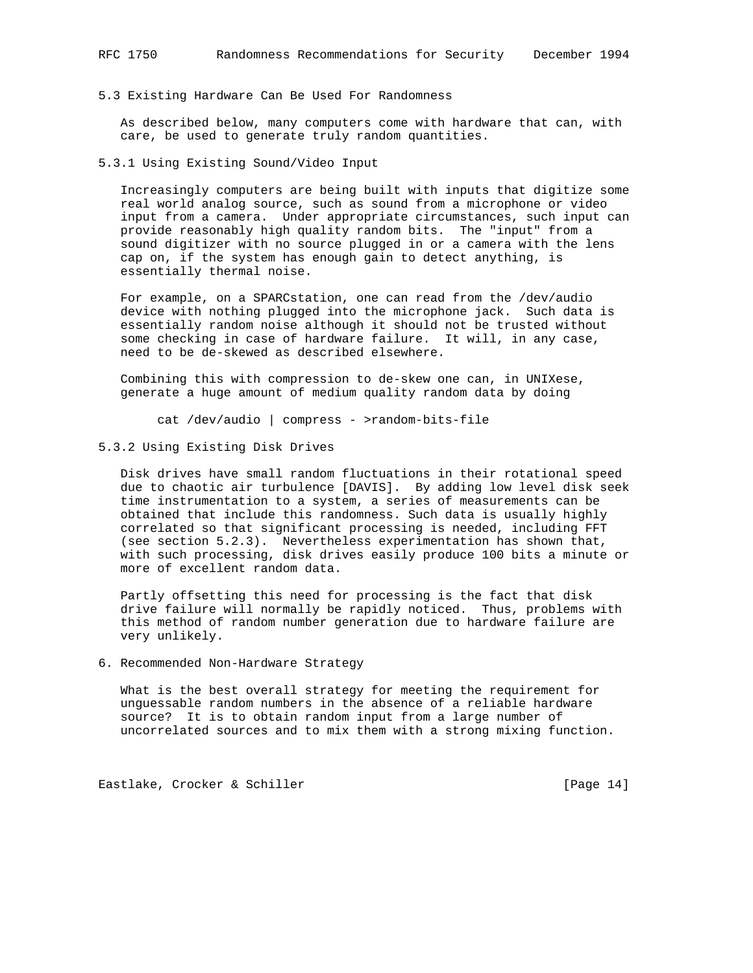5.3 Existing Hardware Can Be Used For Randomness

 As described below, many computers come with hardware that can, with care, be used to generate truly random quantities.

5.3.1 Using Existing Sound/Video Input

 Increasingly computers are being built with inputs that digitize some real world analog source, such as sound from a microphone or video input from a camera. Under appropriate circumstances, such input can provide reasonably high quality random bits. The "input" from a sound digitizer with no source plugged in or a camera with the lens cap on, if the system has enough gain to detect anything, is essentially thermal noise.

 For example, on a SPARCstation, one can read from the /dev/audio device with nothing plugged into the microphone jack. Such data is essentially random noise although it should not be trusted without some checking in case of hardware failure. It will, in any case, need to be de-skewed as described elsewhere.

 Combining this with compression to de-skew one can, in UNIXese, generate a huge amount of medium quality random data by doing

cat /dev/audio | compress - >random-bits-file

5.3.2 Using Existing Disk Drives

 Disk drives have small random fluctuations in their rotational speed due to chaotic air turbulence [DAVIS]. By adding low level disk seek time instrumentation to a system, a series of measurements can be obtained that include this randomness. Such data is usually highly correlated so that significant processing is needed, including FFT (see section 5.2.3). Nevertheless experimentation has shown that, with such processing, disk drives easily produce 100 bits a minute or more of excellent random data.

 Partly offsetting this need for processing is the fact that disk drive failure will normally be rapidly noticed. Thus, problems with this method of random number generation due to hardware failure are very unlikely.

### 6. Recommended Non-Hardware Strategy

 What is the best overall strategy for meeting the requirement for unguessable random numbers in the absence of a reliable hardware source? It is to obtain random input from a large number of uncorrelated sources and to mix them with a strong mixing function.

Eastlake, Crocker & Schiller [Page 14]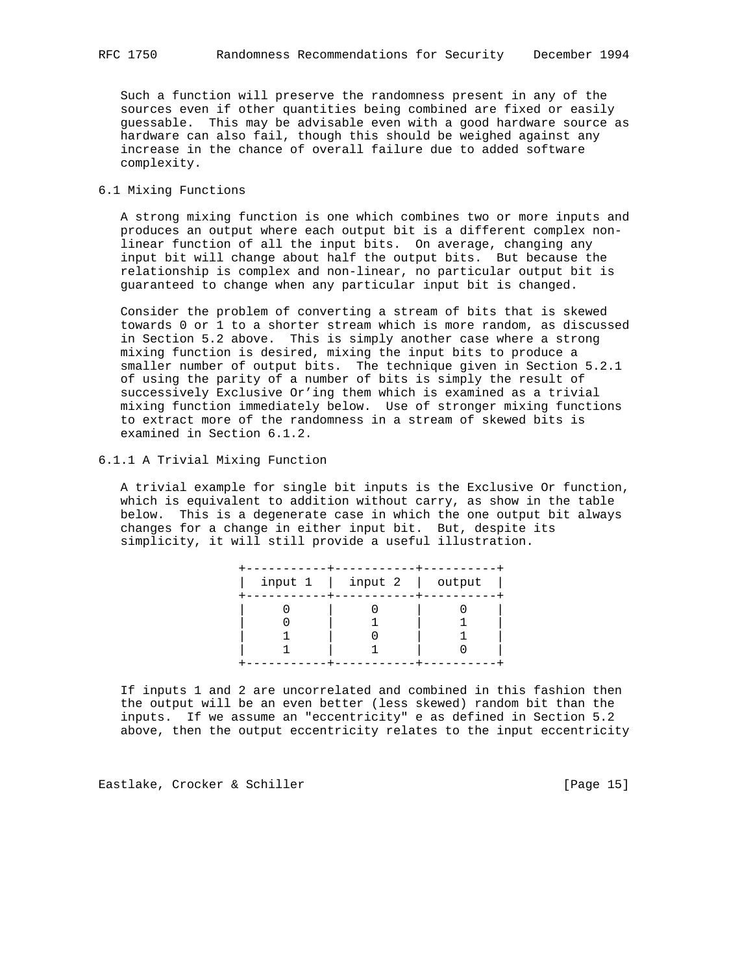Such a function will preserve the randomness present in any of the sources even if other quantities being combined are fixed or easily guessable. This may be advisable even with a good hardware source as hardware can also fail, though this should be weighed against any increase in the chance of overall failure due to added software complexity.

## 6.1 Mixing Functions

 A strong mixing function is one which combines two or more inputs and produces an output where each output bit is a different complex non linear function of all the input bits. On average, changing any input bit will change about half the output bits. But because the relationship is complex and non-linear, no particular output bit is guaranteed to change when any particular input bit is changed.

 Consider the problem of converting a stream of bits that is skewed towards 0 or 1 to a shorter stream which is more random, as discussed in Section 5.2 above. This is simply another case where a strong mixing function is desired, mixing the input bits to produce a smaller number of output bits. The technique given in Section 5.2.1 of using the parity of a number of bits is simply the result of successively Exclusive Or'ing them which is examined as a trivial mixing function immediately below. Use of stronger mixing functions to extract more of the randomness in a stream of skewed bits is examined in Section 6.1.2.

## 6.1.1 A Trivial Mixing Function

 A trivial example for single bit inputs is the Exclusive Or function, which is equivalent to addition without carry, as show in the table below. This is a degenerate case in which the one output bit always changes for a change in either input bit. But, despite its simplicity, it will still provide a useful illustration.

| input $1 \mid$ input $2 \mid$ output |  |
|--------------------------------------|--|
|                                      |  |
|                                      |  |

 If inputs 1 and 2 are uncorrelated and combined in this fashion then the output will be an even better (less skewed) random bit than the inputs. If we assume an "eccentricity" e as defined in Section 5.2 above, then the output eccentricity relates to the input eccentricity

Eastlake, Crocker & Schiller [Page 15]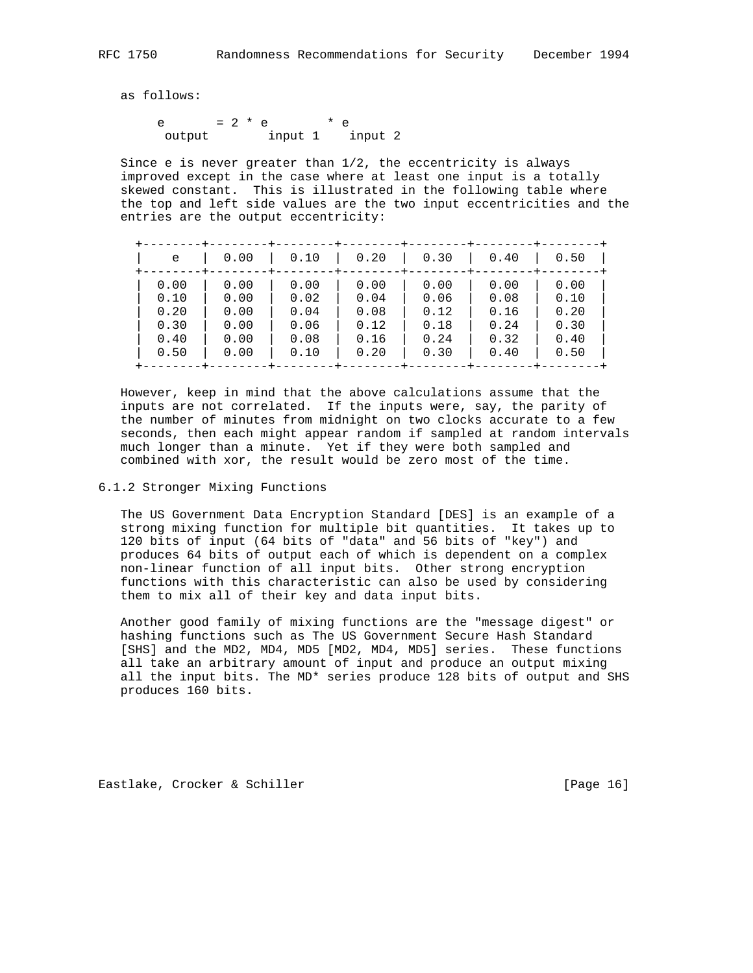as follows:

e =  $2 * e * e * e$ output input 1 input 2

Since e is never greater than  $1/2$ , the eccentricity is always improved except in the case where at least one input is a totally skewed constant. This is illustrated in the following table where the top and left side values are the two input eccentricities and the entries are the output eccentricity:

| e    | 0.00 | 0.10 | 0.20 | 0.30 | 0.40 | 0.50 |
|------|------|------|------|------|------|------|
| 0.00 | 0.00 | 0.00 | 0.00 | 0.00 | 0.00 | 0.00 |
| 0.10 | 0.00 | 0.02 | 0.04 | 0.06 | 0.08 | 0.10 |
| 0.20 | 0.00 | 0.04 | 0.08 | 0.12 | 0.16 | 0.20 |
| 0.30 | 0.00 | 0.06 | 0.12 | 0.18 | 0.24 | 0.30 |
| 0.40 | 0.00 | 0.08 | 0.16 | 0.24 | 0.32 | 0.40 |
| 0.50 | 0.00 | 0.10 | 0.20 | 0.30 | 0.40 | 0.50 |

 However, keep in mind that the above calculations assume that the inputs are not correlated. If the inputs were, say, the parity of the number of minutes from midnight on two clocks accurate to a few seconds, then each might appear random if sampled at random intervals much longer than a minute. Yet if they were both sampled and combined with xor, the result would be zero most of the time.

### 6.1.2 Stronger Mixing Functions

 The US Government Data Encryption Standard [DES] is an example of a strong mixing function for multiple bit quantities. It takes up to 120 bits of input (64 bits of "data" and 56 bits of "key") and produces 64 bits of output each of which is dependent on a complex non-linear function of all input bits. Other strong encryption functions with this characteristic can also be used by considering them to mix all of their key and data input bits.

 Another good family of mixing functions are the "message digest" or hashing functions such as The US Government Secure Hash Standard [SHS] and the MD2, MD4, MD5 [MD2, MD4, MD5] series. These functions all take an arbitrary amount of input and produce an output mixing all the input bits. The MD\* series produce 128 bits of output and SHS produces 160 bits.

Eastlake, Crocker & Schiller [Page 16]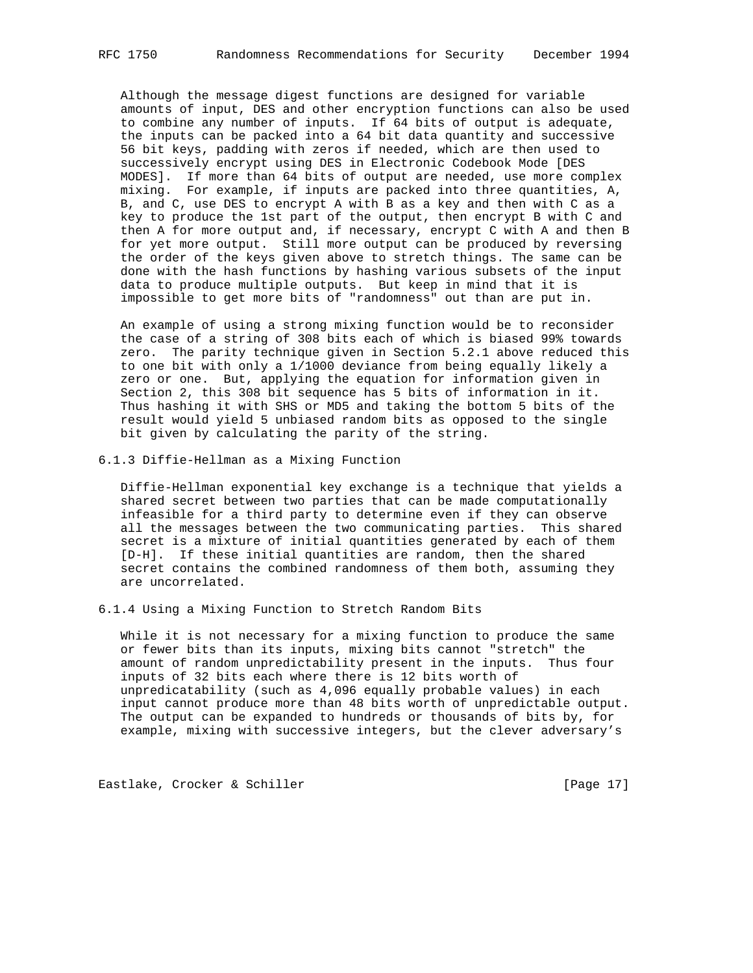Although the message digest functions are designed for variable amounts of input, DES and other encryption functions can also be used to combine any number of inputs. If 64 bits of output is adequate, the inputs can be packed into a 64 bit data quantity and successive 56 bit keys, padding with zeros if needed, which are then used to successively encrypt using DES in Electronic Codebook Mode [DES MODES]. If more than 64 bits of output are needed, use more complex mixing. For example, if inputs are packed into three quantities, A, B, and C, use DES to encrypt A with B as a key and then with C as a key to produce the 1st part of the output, then encrypt B with C and then A for more output and, if necessary, encrypt C with A and then B for yet more output. Still more output can be produced by reversing the order of the keys given above to stretch things. The same can be done with the hash functions by hashing various subsets of the input data to produce multiple outputs. But keep in mind that it is impossible to get more bits of "randomness" out than are put in.

 An example of using a strong mixing function would be to reconsider the case of a string of 308 bits each of which is biased 99% towards zero. The parity technique given in Section 5.2.1 above reduced this to one bit with only a 1/1000 deviance from being equally likely a zero or one. But, applying the equation for information given in Section 2, this 308 bit sequence has 5 bits of information in it. Thus hashing it with SHS or MD5 and taking the bottom 5 bits of the result would yield 5 unbiased random bits as opposed to the single bit given by calculating the parity of the string.

6.1.3 Diffie-Hellman as a Mixing Function

 Diffie-Hellman exponential key exchange is a technique that yields a shared secret between two parties that can be made computationally infeasible for a third party to determine even if they can observe all the messages between the two communicating parties. This shared secret is a mixture of initial quantities generated by each of them [D-H]. If these initial quantities are random, then the shared secret contains the combined randomness of them both, assuming they are uncorrelated.

6.1.4 Using a Mixing Function to Stretch Random Bits

 While it is not necessary for a mixing function to produce the same or fewer bits than its inputs, mixing bits cannot "stretch" the amount of random unpredictability present in the inputs. Thus four inputs of 32 bits each where there is 12 bits worth of unpredicatability (such as 4,096 equally probable values) in each input cannot produce more than 48 bits worth of unpredictable output. The output can be expanded to hundreds or thousands of bits by, for example, mixing with successive integers, but the clever adversary's

Eastlake, Crocker & Schiller [Page 17]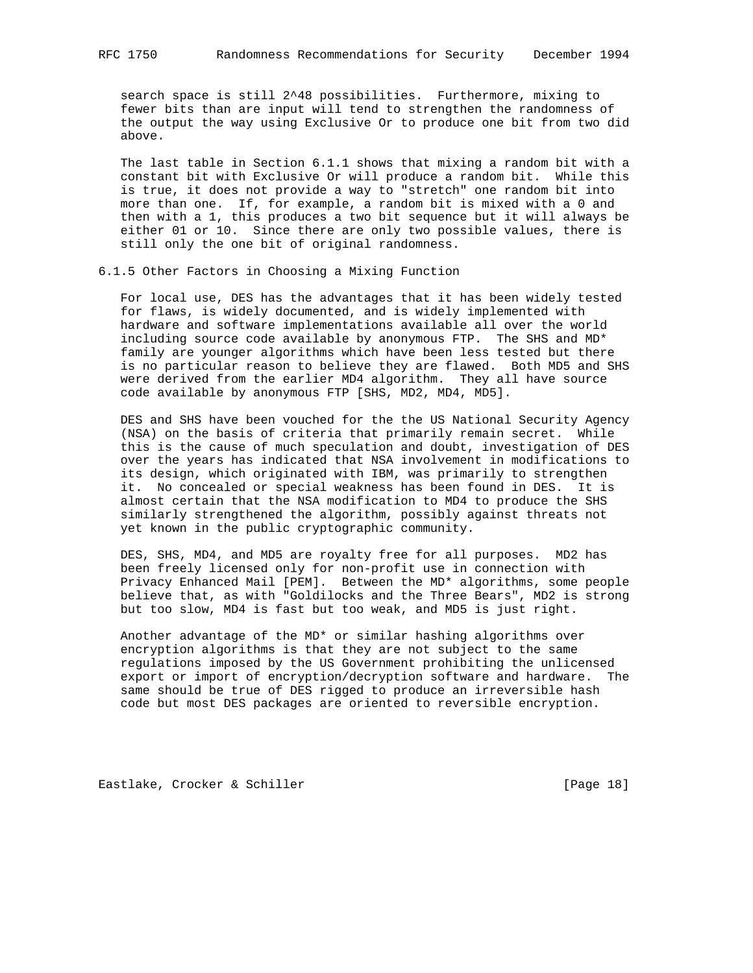search space is still 2^48 possibilities. Furthermore, mixing to fewer bits than are input will tend to strengthen the randomness of the output the way using Exclusive Or to produce one bit from two did above.

 The last table in Section 6.1.1 shows that mixing a random bit with a constant bit with Exclusive Or will produce a random bit. While this is true, it does not provide a way to "stretch" one random bit into more than one. If, for example, a random bit is mixed with a 0 and then with a 1, this produces a two bit sequence but it will always be either 01 or 10. Since there are only two possible values, there is still only the one bit of original randomness.

6.1.5 Other Factors in Choosing a Mixing Function

 For local use, DES has the advantages that it has been widely tested for flaws, is widely documented, and is widely implemented with hardware and software implementations available all over the world including source code available by anonymous FTP. The SHS and MD\* family are younger algorithms which have been less tested but there is no particular reason to believe they are flawed. Both MD5 and SHS were derived from the earlier MD4 algorithm. They all have source code available by anonymous FTP [SHS, MD2, MD4, MD5].

 DES and SHS have been vouched for the the US National Security Agency (NSA) on the basis of criteria that primarily remain secret. While this is the cause of much speculation and doubt, investigation of DES over the years has indicated that NSA involvement in modifications to its design, which originated with IBM, was primarily to strengthen it. No concealed or special weakness has been found in DES. It is almost certain that the NSA modification to MD4 to produce the SHS similarly strengthened the algorithm, possibly against threats not yet known in the public cryptographic community.

 DES, SHS, MD4, and MD5 are royalty free for all purposes. MD2 has been freely licensed only for non-profit use in connection with Privacy Enhanced Mail [PEM]. Between the MD\* algorithms, some people believe that, as with "Goldilocks and the Three Bears", MD2 is strong but too slow, MD4 is fast but too weak, and MD5 is just right.

 Another advantage of the MD\* or similar hashing algorithms over encryption algorithms is that they are not subject to the same regulations imposed by the US Government prohibiting the unlicensed export or import of encryption/decryption software and hardware. The same should be true of DES rigged to produce an irreversible hash code but most DES packages are oriented to reversible encryption.

Eastlake, Crocker & Schiller [Page 18]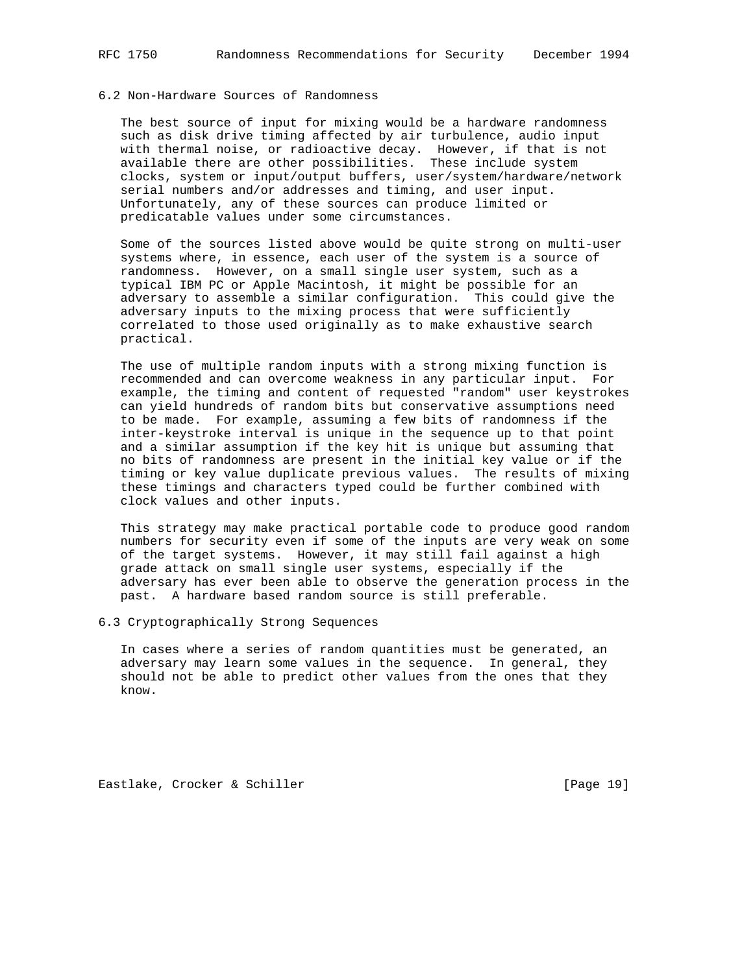# 6.2 Non-Hardware Sources of Randomness

 The best source of input for mixing would be a hardware randomness such as disk drive timing affected by air turbulence, audio input with thermal noise, or radioactive decay. However, if that is not available there are other possibilities. These include system clocks, system or input/output buffers, user/system/hardware/network serial numbers and/or addresses and timing, and user input. Unfortunately, any of these sources can produce limited or predicatable values under some circumstances.

 Some of the sources listed above would be quite strong on multi-user systems where, in essence, each user of the system is a source of randomness. However, on a small single user system, such as a typical IBM PC or Apple Macintosh, it might be possible for an adversary to assemble a similar configuration. This could give the adversary inputs to the mixing process that were sufficiently correlated to those used originally as to make exhaustive search practical.

 The use of multiple random inputs with a strong mixing function is recommended and can overcome weakness in any particular input. For example, the timing and content of requested "random" user keystrokes can yield hundreds of random bits but conservative assumptions need to be made. For example, assuming a few bits of randomness if the inter-keystroke interval is unique in the sequence up to that point and a similar assumption if the key hit is unique but assuming that no bits of randomness are present in the initial key value or if the timing or key value duplicate previous values. The results of mixing these timings and characters typed could be further combined with clock values and other inputs.

 This strategy may make practical portable code to produce good random numbers for security even if some of the inputs are very weak on some of the target systems. However, it may still fail against a high grade attack on small single user systems, especially if the adversary has ever been able to observe the generation process in the past. A hardware based random source is still preferable.

## 6.3 Cryptographically Strong Sequences

 In cases where a series of random quantities must be generated, an adversary may learn some values in the sequence. In general, they should not be able to predict other values from the ones that they know.

Eastlake, Crocker & Schiller [Page 19]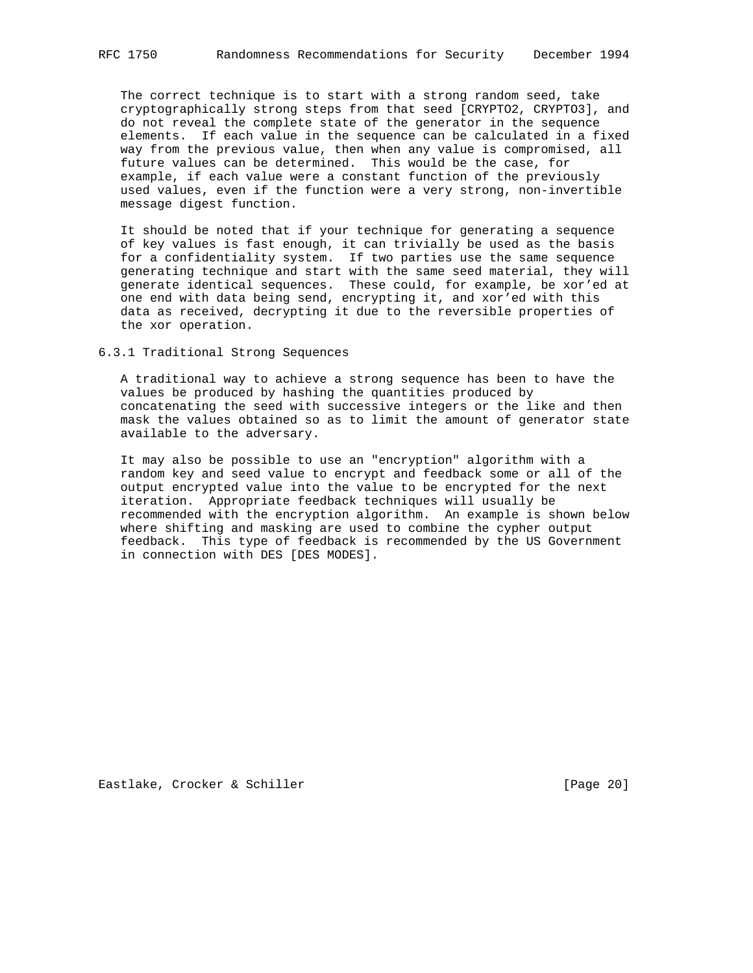The correct technique is to start with a strong random seed, take cryptographically strong steps from that seed [CRYPTO2, CRYPTO3], and do not reveal the complete state of the generator in the sequence elements. If each value in the sequence can be calculated in a fixed way from the previous value, then when any value is compromised, all future values can be determined. This would be the case, for example, if each value were a constant function of the previously used values, even if the function were a very strong, non-invertible message digest function.

 It should be noted that if your technique for generating a sequence of key values is fast enough, it can trivially be used as the basis for a confidentiality system. If two parties use the same sequence generating technique and start with the same seed material, they will generate identical sequences. These could, for example, be xor'ed at one end with data being send, encrypting it, and xor'ed with this data as received, decrypting it due to the reversible properties of the xor operation.

6.3.1 Traditional Strong Sequences

 A traditional way to achieve a strong sequence has been to have the values be produced by hashing the quantities produced by concatenating the seed with successive integers or the like and then mask the values obtained so as to limit the amount of generator state available to the adversary.

 It may also be possible to use an "encryption" algorithm with a random key and seed value to encrypt and feedback some or all of the output encrypted value into the value to be encrypted for the next iteration. Appropriate feedback techniques will usually be recommended with the encryption algorithm. An example is shown below where shifting and masking are used to combine the cypher output feedback. This type of feedback is recommended by the US Government in connection with DES [DES MODES].

Eastlake, Crocker & Schiller [Page 20]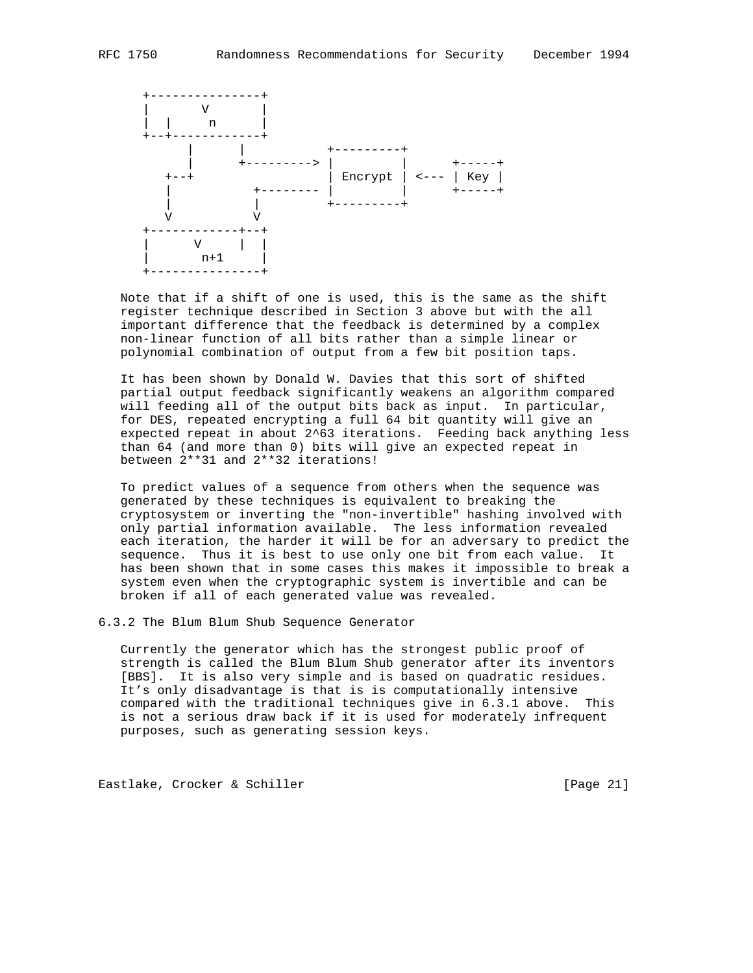

 Note that if a shift of one is used, this is the same as the shift register technique described in Section 3 above but with the all important difference that the feedback is determined by a complex non-linear function of all bits rather than a simple linear or polynomial combination of output from a few bit position taps.

 It has been shown by Donald W. Davies that this sort of shifted partial output feedback significantly weakens an algorithm compared will feeding all of the output bits back as input. In particular, for DES, repeated encrypting a full 64 bit quantity will give an expected repeat in about 2^63 iterations. Feeding back anything less than 64 (and more than 0) bits will give an expected repeat in between 2\*\*31 and 2\*\*32 iterations!

 To predict values of a sequence from others when the sequence was generated by these techniques is equivalent to breaking the cryptosystem or inverting the "non-invertible" hashing involved with only partial information available. The less information revealed each iteration, the harder it will be for an adversary to predict the sequence. Thus it is best to use only one bit from each value. It has been shown that in some cases this makes it impossible to break a system even when the cryptographic system is invertible and can be broken if all of each generated value was revealed.

## 6.3.2 The Blum Blum Shub Sequence Generator

 Currently the generator which has the strongest public proof of strength is called the Blum Blum Shub generator after its inventors [BBS]. It is also very simple and is based on quadratic residues. It's only disadvantage is that is is computationally intensive compared with the traditional techniques give in 6.3.1 above. This is not a serious draw back if it is used for moderately infrequent purposes, such as generating session keys.

Eastlake, Crocker & Schiller [Page 21]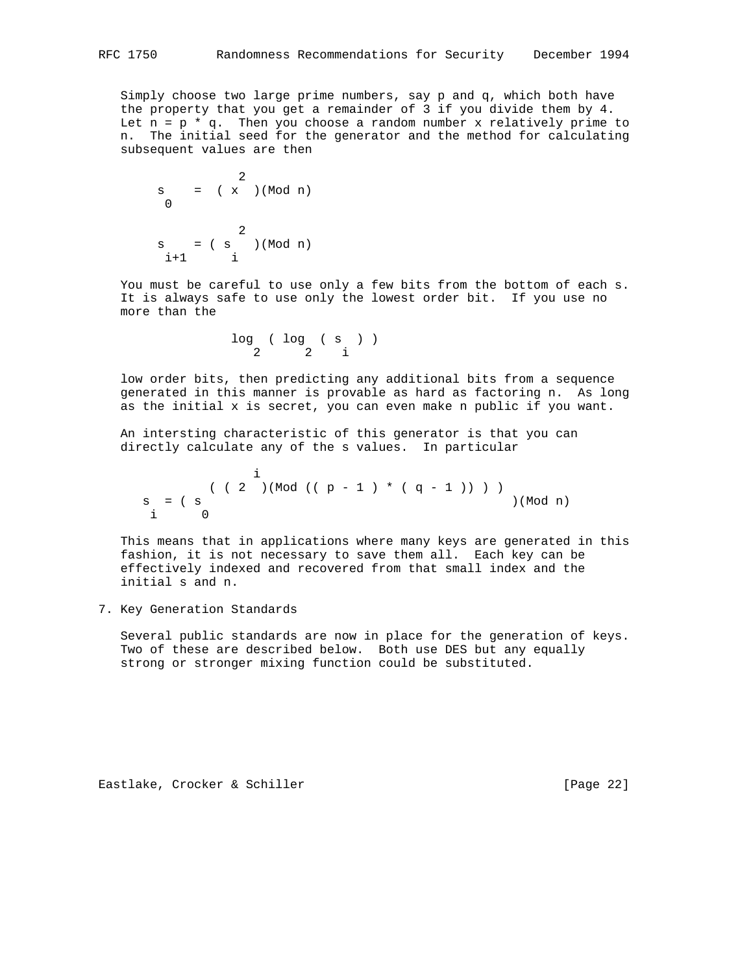Simply choose two large prime numbers, say p and q, which both have the property that you get a remainder of 3 if you divide them by 4. Let  $n = p * q$ . Then you choose a random number x relatively prime to n. The initial seed for the generator and the method for calculating subsequent values are then

$$
s = (\begin{array}{c} 2 \\ x \end{array})(Mod n)
$$
  

$$
s = (\begin{array}{c} 2 \\ s \end{array})(Mod n)
$$
  

$$
i+1 \qquad i
$$

 You must be careful to use only a few bits from the bottom of each s. It is always safe to use only the lowest order bit. If you use no more than the

> log ( log ( s ) ) 2 2 i

 low order bits, then predicting any additional bits from a sequence generated in this manner is provable as hard as factoring n. As long as the initial x is secret, you can even make n public if you want.

 An intersting characteristic of this generator is that you can directly calculate any of the s values. In particular

is a set of the set of the set of  $\mathbf i$  $( ( 2 ) (Mod ( ( p - 1 ) * ( q - 1 ) ) ) )$  $s = (s \qquad ) (Mod n)$ i 0

 This means that in applications where many keys are generated in this fashion, it is not necessary to save them all. Each key can be effectively indexed and recovered from that small index and the initial s and n.

7. Key Generation Standards

 Several public standards are now in place for the generation of keys. Two of these are described below. Both use DES but any equally strong or stronger mixing function could be substituted.

Eastlake, Crocker & Schiller [Page 22]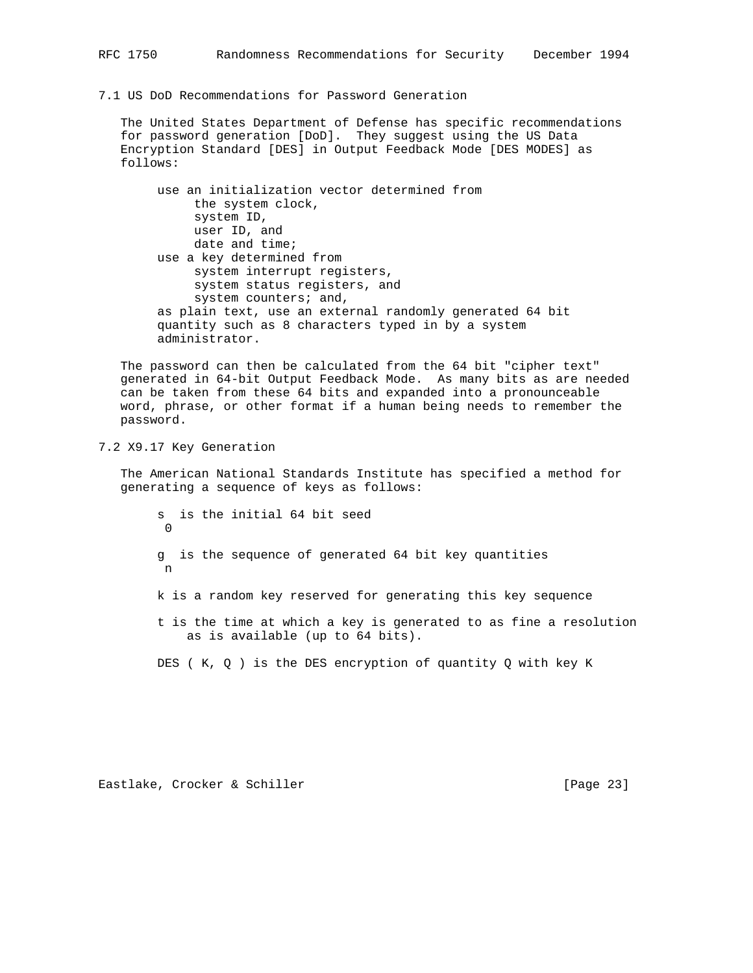7.1 US DoD Recommendations for Password Generation

 The United States Department of Defense has specific recommendations for password generation [DoD]. They suggest using the US Data Encryption Standard [DES] in Output Feedback Mode [DES MODES] as follows:

 use an initialization vector determined from the system clock, system ID, user ID, and date and time; use a key determined from system interrupt registers, system status registers, and system counters; and, as plain text, use an external randomly generated 64 bit quantity such as 8 characters typed in by a system administrator.

 The password can then be calculated from the 64 bit "cipher text" generated in 64-bit Output Feedback Mode. As many bits as are needed can be taken from these 64 bits and expanded into a pronounceable word, phrase, or other format if a human being needs to remember the password.

7.2 X9.17 Key Generation

 The American National Standards Institute has specified a method for generating a sequence of keys as follows:

 s is the initial 64 bit seed 0 g is the sequence of generated 64 bit key quantities n k is a random key reserved for generating this key sequence t is the time at which a key is generated to as fine a resolution as is available (up to 64 bits).

DES ( K, Q ) is the DES encryption of quantity Q with key K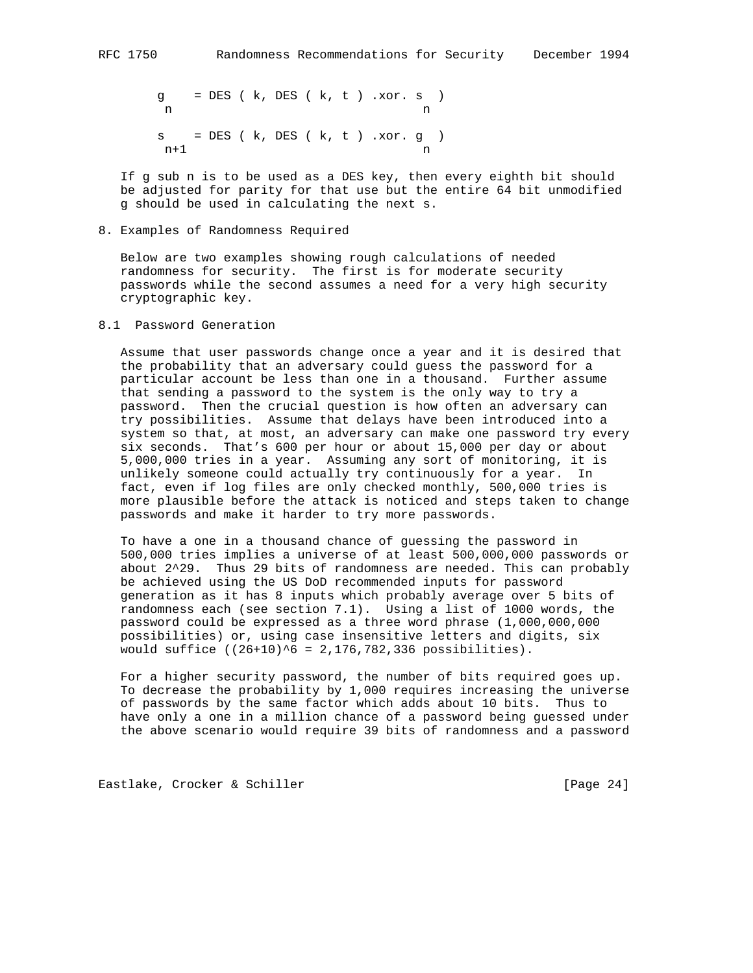g = DES ( k, DES ( k, t ) .xor. s ) n n s = DES ( k, DES ( k, t ) .xor. g )  $n+1$  n

 If g sub n is to be used as a DES key, then every eighth bit should be adjusted for parity for that use but the entire 64 bit unmodified g should be used in calculating the next s.

8. Examples of Randomness Required

 Below are two examples showing rough calculations of needed randomness for security. The first is for moderate security passwords while the second assumes a need for a very high security cryptographic key.

8.1 Password Generation

 Assume that user passwords change once a year and it is desired that the probability that an adversary could guess the password for a particular account be less than one in a thousand. Further assume that sending a password to the system is the only way to try a password. Then the crucial question is how often an adversary can try possibilities. Assume that delays have been introduced into a system so that, at most, an adversary can make one password try every six seconds. That's 600 per hour or about 15,000 per day or about 5,000,000 tries in a year. Assuming any sort of monitoring, it is unlikely someone could actually try continuously for a year. In fact, even if log files are only checked monthly, 500,000 tries is more plausible before the attack is noticed and steps taken to change passwords and make it harder to try more passwords.

 To have a one in a thousand chance of guessing the password in 500,000 tries implies a universe of at least 500,000,000 passwords or about 2^29. Thus 29 bits of randomness are needed. This can probably be achieved using the US DoD recommended inputs for password generation as it has 8 inputs which probably average over 5 bits of randomness each (see section 7.1). Using a list of 1000 words, the password could be expressed as a three word phrase (1,000,000,000 possibilities) or, using case insensitive letters and digits, six would suffice  $((26+10)^6 = 2,176,782,336$  possibilities).

 For a higher security password, the number of bits required goes up. To decrease the probability by 1,000 requires increasing the universe of passwords by the same factor which adds about 10 bits. Thus to have only a one in a million chance of a password being guessed under the above scenario would require 39 bits of randomness and a password

Eastlake, Crocker & Schiller [Page 24]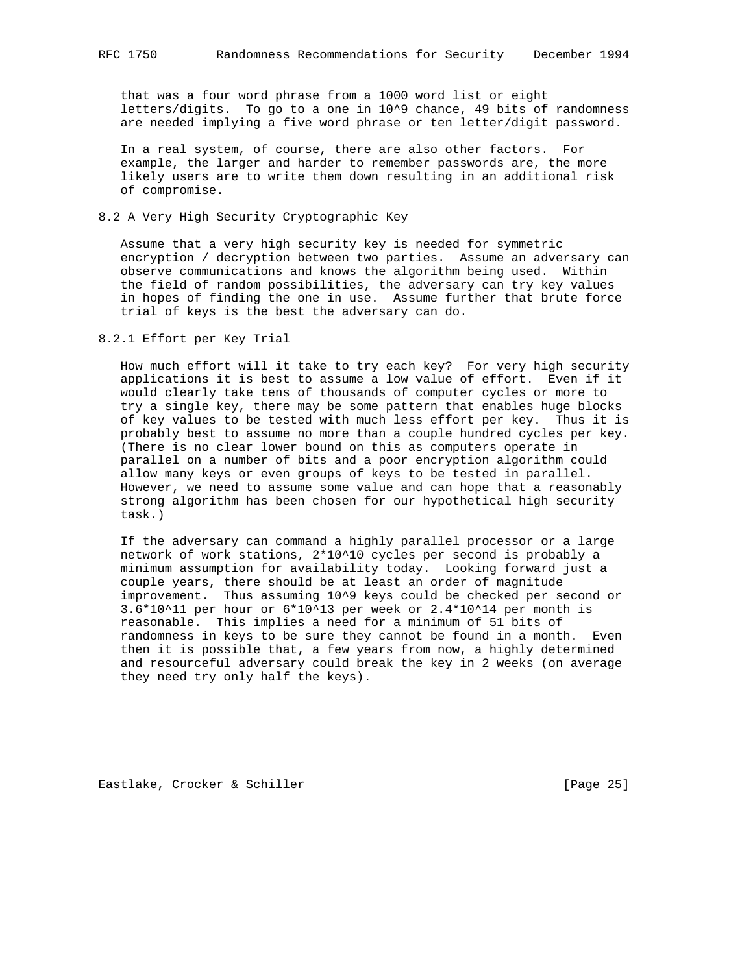that was a four word phrase from a 1000 word list or eight letters/digits. To go to a one in 10^9 chance, 49 bits of randomness are needed implying a five word phrase or ten letter/digit password.

 In a real system, of course, there are also other factors. For example, the larger and harder to remember passwords are, the more likely users are to write them down resulting in an additional risk of compromise.

# 8.2 A Very High Security Cryptographic Key

 Assume that a very high security key is needed for symmetric encryption / decryption between two parties. Assume an adversary can observe communications and knows the algorithm being used. Within the field of random possibilities, the adversary can try key values in hopes of finding the one in use. Assume further that brute force trial of keys is the best the adversary can do.

# 8.2.1 Effort per Key Trial

 How much effort will it take to try each key? For very high security applications it is best to assume a low value of effort. Even if it would clearly take tens of thousands of computer cycles or more to try a single key, there may be some pattern that enables huge blocks of key values to be tested with much less effort per key. Thus it is probably best to assume no more than a couple hundred cycles per key. (There is no clear lower bound on this as computers operate in parallel on a number of bits and a poor encryption algorithm could allow many keys or even groups of keys to be tested in parallel. However, we need to assume some value and can hope that a reasonably strong algorithm has been chosen for our hypothetical high security task.)

 If the adversary can command a highly parallel processor or a large network of work stations, 2\*10^10 cycles per second is probably a minimum assumption for availability today. Looking forward just a couple years, there should be at least an order of magnitude improvement. Thus assuming 10^9 keys could be checked per second or 3.6\*10^11 per hour or 6\*10^13 per week or 2.4\*10^14 per month is reasonable. This implies a need for a minimum of 51 bits of randomness in keys to be sure they cannot be found in a month. Even then it is possible that, a few years from now, a highly determined and resourceful adversary could break the key in 2 weeks (on average they need try only half the keys).

Eastlake, Crocker & Schiller [Page 25]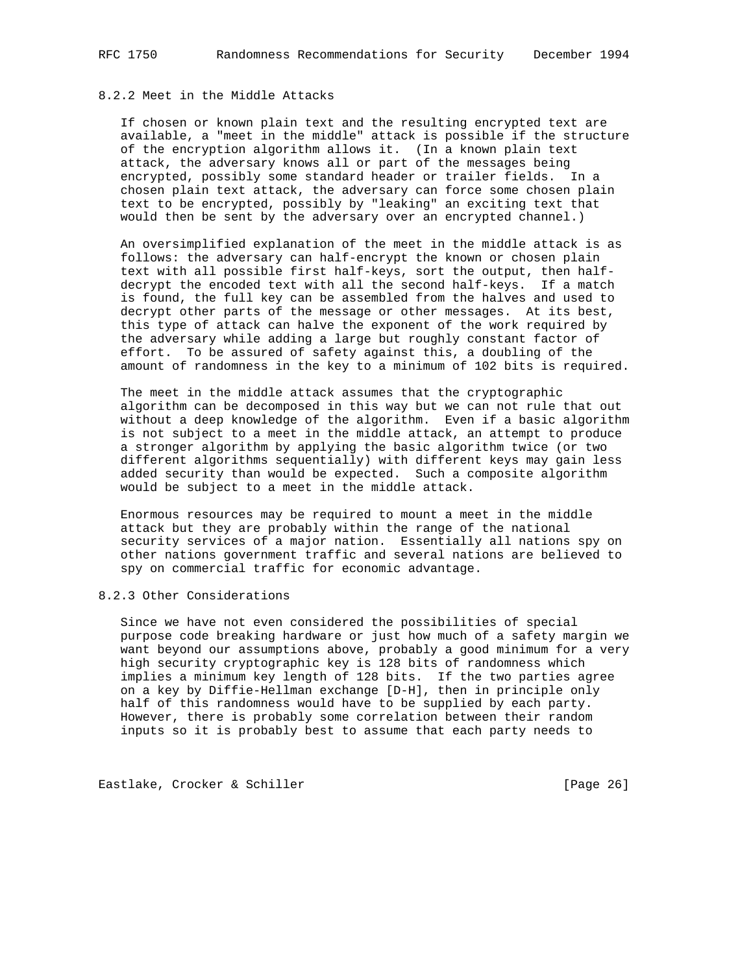# 8.2.2 Meet in the Middle Attacks

 If chosen or known plain text and the resulting encrypted text are available, a "meet in the middle" attack is possible if the structure of the encryption algorithm allows it. (In a known plain text attack, the adversary knows all or part of the messages being encrypted, possibly some standard header or trailer fields. In a chosen plain text attack, the adversary can force some chosen plain text to be encrypted, possibly by "leaking" an exciting text that would then be sent by the adversary over an encrypted channel.)

 An oversimplified explanation of the meet in the middle attack is as follows: the adversary can half-encrypt the known or chosen plain text with all possible first half-keys, sort the output, then half decrypt the encoded text with all the second half-keys. If a match is found, the full key can be assembled from the halves and used to decrypt other parts of the message or other messages. At its best, this type of attack can halve the exponent of the work required by the adversary while adding a large but roughly constant factor of effort. To be assured of safety against this, a doubling of the amount of randomness in the key to a minimum of 102 bits is required.

 The meet in the middle attack assumes that the cryptographic algorithm can be decomposed in this way but we can not rule that out without a deep knowledge of the algorithm. Even if a basic algorithm is not subject to a meet in the middle attack, an attempt to produce a stronger algorithm by applying the basic algorithm twice (or two different algorithms sequentially) with different keys may gain less added security than would be expected. Such a composite algorithm would be subject to a meet in the middle attack.

 Enormous resources may be required to mount a meet in the middle attack but they are probably within the range of the national security services of a major nation. Essentially all nations spy on other nations government traffic and several nations are believed to spy on commercial traffic for economic advantage.

## 8.2.3 Other Considerations

 Since we have not even considered the possibilities of special purpose code breaking hardware or just how much of a safety margin we want beyond our assumptions above, probably a good minimum for a very high security cryptographic key is 128 bits of randomness which implies a minimum key length of 128 bits. If the two parties agree on a key by Diffie-Hellman exchange [D-H], then in principle only half of this randomness would have to be supplied by each party. However, there is probably some correlation between their random inputs so it is probably best to assume that each party needs to

Eastlake, Crocker & Schiller [Page 26]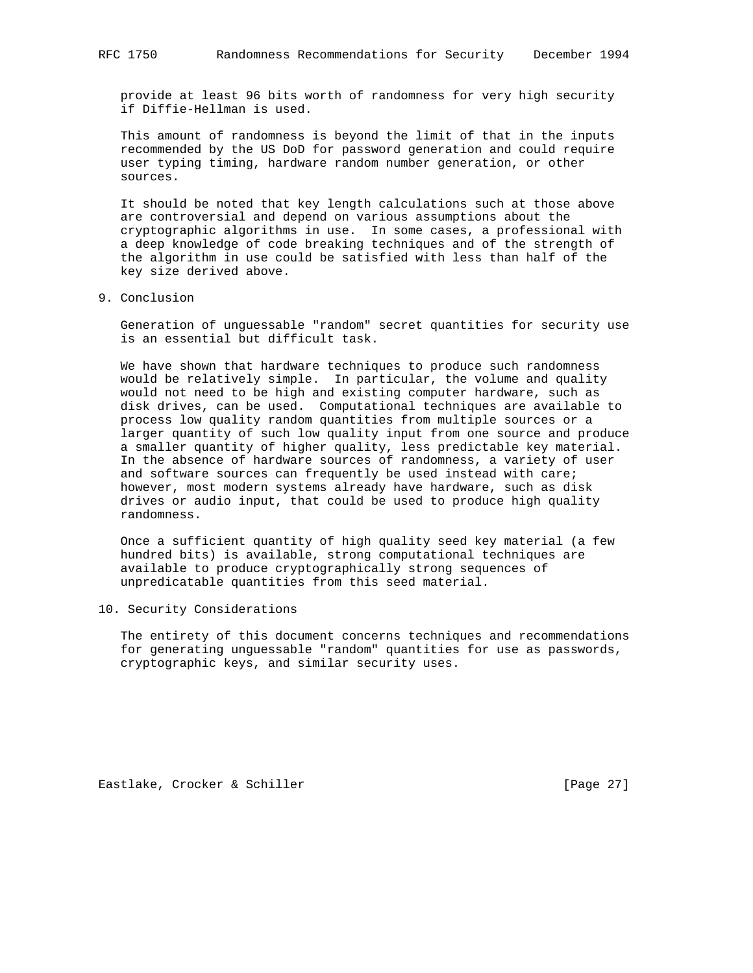provide at least 96 bits worth of randomness for very high security if Diffie-Hellman is used.

 This amount of randomness is beyond the limit of that in the inputs recommended by the US DoD for password generation and could require user typing timing, hardware random number generation, or other sources.

 It should be noted that key length calculations such at those above are controversial and depend on various assumptions about the cryptographic algorithms in use. In some cases, a professional with a deep knowledge of code breaking techniques and of the strength of the algorithm in use could be satisfied with less than half of the key size derived above.

9. Conclusion

 Generation of unguessable "random" secret quantities for security use is an essential but difficult task.

 We have shown that hardware techniques to produce such randomness would be relatively simple. In particular, the volume and quality would not need to be high and existing computer hardware, such as disk drives, can be used. Computational techniques are available to process low quality random quantities from multiple sources or a larger quantity of such low quality input from one source and produce a smaller quantity of higher quality, less predictable key material. In the absence of hardware sources of randomness, a variety of user and software sources can frequently be used instead with care; however, most modern systems already have hardware, such as disk drives or audio input, that could be used to produce high quality randomness.

 Once a sufficient quantity of high quality seed key material (a few hundred bits) is available, strong computational techniques are available to produce cryptographically strong sequences of unpredicatable quantities from this seed material.

10. Security Considerations

 The entirety of this document concerns techniques and recommendations for generating unguessable "random" quantities for use as passwords, cryptographic keys, and similar security uses.

Eastlake, Crocker & Schiller [Page 27]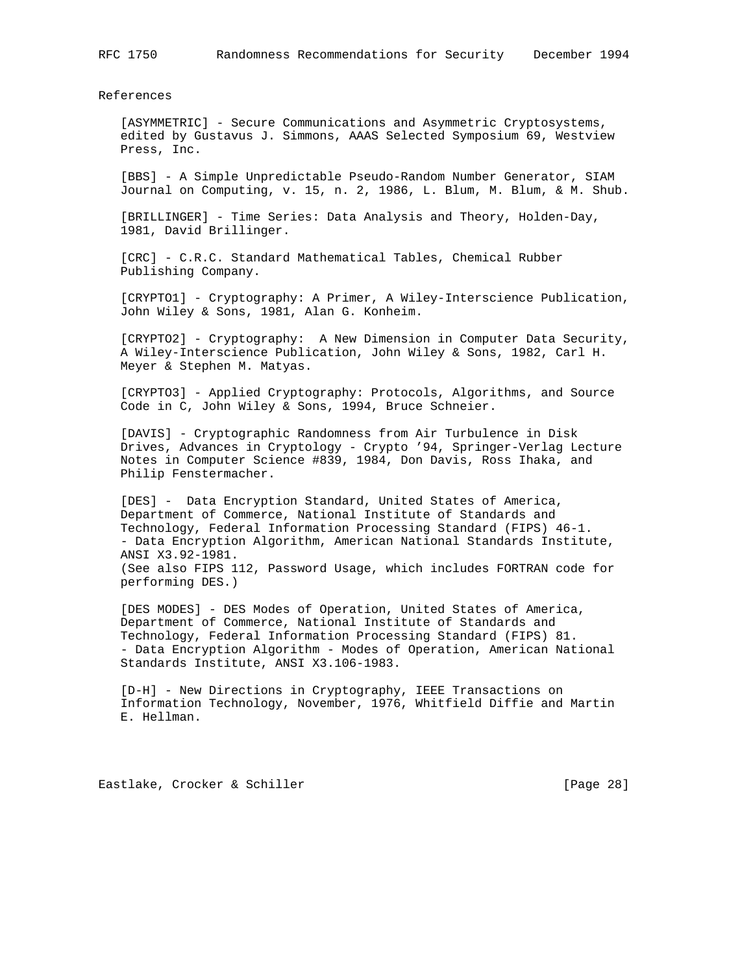References

 [ASYMMETRIC] - Secure Communications and Asymmetric Cryptosystems, edited by Gustavus J. Simmons, AAAS Selected Symposium 69, Westview Press, Inc.

 [BBS] - A Simple Unpredictable Pseudo-Random Number Generator, SIAM Journal on Computing, v. 15, n. 2, 1986, L. Blum, M. Blum, & M. Shub.

 [BRILLINGER] - Time Series: Data Analysis and Theory, Holden-Day, 1981, David Brillinger.

 [CRC] - C.R.C. Standard Mathematical Tables, Chemical Rubber Publishing Company.

 [CRYPTO1] - Cryptography: A Primer, A Wiley-Interscience Publication, John Wiley & Sons, 1981, Alan G. Konheim.

 [CRYPTO2] - Cryptography: A New Dimension in Computer Data Security, A Wiley-Interscience Publication, John Wiley & Sons, 1982, Carl H. Meyer & Stephen M. Matyas.

 [CRYPTO3] - Applied Cryptography: Protocols, Algorithms, and Source Code in C, John Wiley & Sons, 1994, Bruce Schneier.

 [DAVIS] - Cryptographic Randomness from Air Turbulence in Disk Drives, Advances in Cryptology - Crypto '94, Springer-Verlag Lecture Notes in Computer Science #839, 1984, Don Davis, Ross Ihaka, and Philip Fenstermacher.

 [DES] - Data Encryption Standard, United States of America, Department of Commerce, National Institute of Standards and Technology, Federal Information Processing Standard (FIPS) 46-1. - Data Encryption Algorithm, American National Standards Institute, ANSI X3.92-1981. (See also FIPS 112, Password Usage, which includes FORTRAN code for performing DES.)

 [DES MODES] - DES Modes of Operation, United States of America, Department of Commerce, National Institute of Standards and Technology, Federal Information Processing Standard (FIPS) 81. - Data Encryption Algorithm - Modes of Operation, American National Standards Institute, ANSI X3.106-1983.

 [D-H] - New Directions in Cryptography, IEEE Transactions on Information Technology, November, 1976, Whitfield Diffie and Martin E. Hellman.

Eastlake, Crocker & Schiller [Page 28]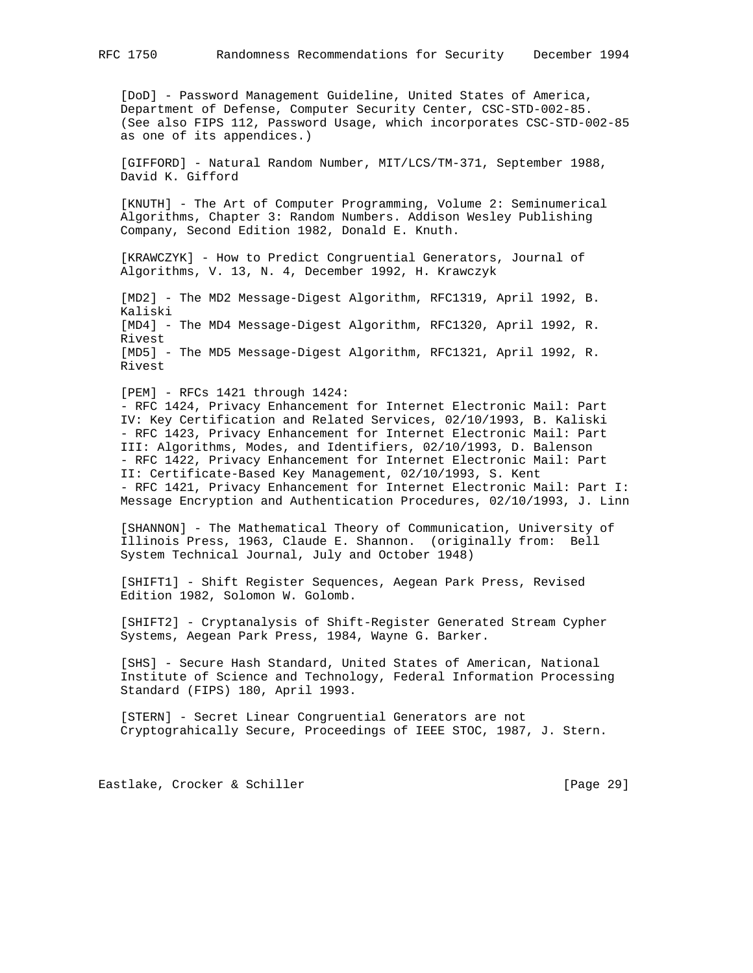[DoD] - Password Management Guideline, United States of America, Department of Defense, Computer Security Center, CSC-STD-002-85. (See also FIPS 112, Password Usage, which incorporates CSC-STD-002-85 as one of its appendices.)

 [GIFFORD] - Natural Random Number, MIT/LCS/TM-371, September 1988, David K. Gifford

 [KNUTH] - The Art of Computer Programming, Volume 2: Seminumerical Algorithms, Chapter 3: Random Numbers. Addison Wesley Publishing Company, Second Edition 1982, Donald E. Knuth.

 [KRAWCZYK] - How to Predict Congruential Generators, Journal of Algorithms, V. 13, N. 4, December 1992, H. Krawczyk

 [MD2] - The MD2 Message-Digest Algorithm, RFC1319, April 1992, B. Kaliski [MD4] - The MD4 Message-Digest Algorithm, RFC1320, April 1992, R. Rivest [MD5] - The MD5 Message-Digest Algorithm, RFC1321, April 1992, R. Rivest

 [PEM] - RFCs 1421 through 1424: - RFC 1424, Privacy Enhancement for Internet Electronic Mail: Part IV: Key Certification and Related Services, 02/10/1993, B. Kaliski - RFC 1423, Privacy Enhancement for Internet Electronic Mail: Part III: Algorithms, Modes, and Identifiers, 02/10/1993, D. Balenson - RFC 1422, Privacy Enhancement for Internet Electronic Mail: Part II: Certificate-Based Key Management, 02/10/1993, S. Kent - RFC 1421, Privacy Enhancement for Internet Electronic Mail: Part I: Message Encryption and Authentication Procedures, 02/10/1993, J. Linn

 [SHANNON] - The Mathematical Theory of Communication, University of Illinois Press, 1963, Claude E. Shannon. (originally from: Bell System Technical Journal, July and October 1948)

 [SHIFT1] - Shift Register Sequences, Aegean Park Press, Revised Edition 1982, Solomon W. Golomb.

 [SHIFT2] - Cryptanalysis of Shift-Register Generated Stream Cypher Systems, Aegean Park Press, 1984, Wayne G. Barker.

 [SHS] - Secure Hash Standard, United States of American, National Institute of Science and Technology, Federal Information Processing Standard (FIPS) 180, April 1993.

 [STERN] - Secret Linear Congruential Generators are not Cryptograhically Secure, Proceedings of IEEE STOC, 1987, J. Stern.

Eastlake, Crocker & Schiller [Page 29]